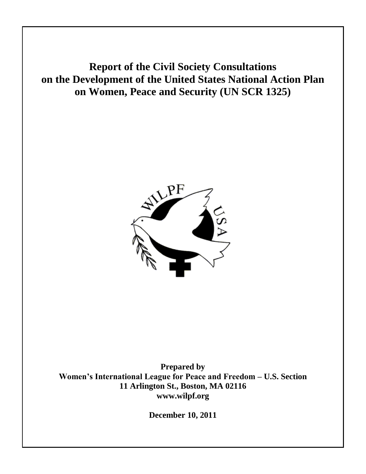# **Report of the Civil Society Consultations on the Development of the United States National Action Plan on Women, Peace and Security (UN SCR 1325)**



**Prepared by Women's International League for Peace and Freedom – U.S. Section 11 Arlington St., Boston, MA 02116 www.wilpf.org**

**December 10, 2011**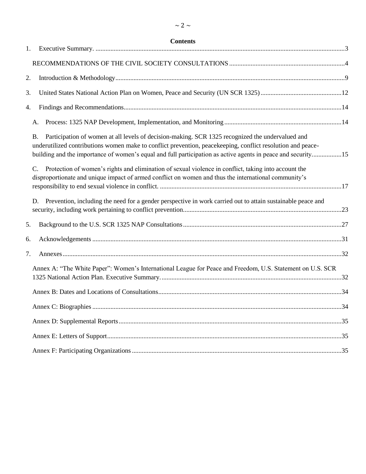| 1. | <b>Contents</b>                                                                                                                                                                                                                                                                                                                              |  |
|----|----------------------------------------------------------------------------------------------------------------------------------------------------------------------------------------------------------------------------------------------------------------------------------------------------------------------------------------------|--|
|    |                                                                                                                                                                                                                                                                                                                                              |  |
| 2. |                                                                                                                                                                                                                                                                                                                                              |  |
| 3. |                                                                                                                                                                                                                                                                                                                                              |  |
| 4. |                                                                                                                                                                                                                                                                                                                                              |  |
|    | А.                                                                                                                                                                                                                                                                                                                                           |  |
|    | Participation of women at all levels of decision-making. SCR 1325 recognized the undervalued and<br><b>B.</b><br>underutilized contributions women make to conflict prevention, peacekeeping, conflict resolution and peace-<br>building and the importance of women's equal and full participation as active agents in peace and security15 |  |
|    | Protection of women's rights and elimination of sexual violence in conflict, taking into account the<br>$\mathcal{C}$ .<br>disproportionate and unique impact of armed conflict on women and thus the international community's                                                                                                              |  |
|    | Prevention, including the need for a gender perspective in work carried out to attain sustainable peace and<br>D.                                                                                                                                                                                                                            |  |
| 5. |                                                                                                                                                                                                                                                                                                                                              |  |
| 6. |                                                                                                                                                                                                                                                                                                                                              |  |
| 7. |                                                                                                                                                                                                                                                                                                                                              |  |
|    | Annex A: "The White Paper": Women's International League for Peace and Freedom, U.S. Statement on U.S. SCR                                                                                                                                                                                                                                   |  |
|    |                                                                                                                                                                                                                                                                                                                                              |  |
|    |                                                                                                                                                                                                                                                                                                                                              |  |
|    |                                                                                                                                                                                                                                                                                                                                              |  |
|    |                                                                                                                                                                                                                                                                                                                                              |  |
|    |                                                                                                                                                                                                                                                                                                                                              |  |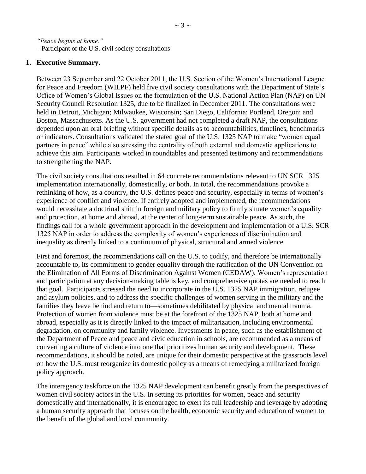*"Peace begins at home."* – Participant of the U.S. civil society consultations

### <span id="page-2-0"></span>**1. Executive Summary.**

Between 23 September and 22 October 2011, the U.S. Section of the Women's International League for Peace and Freedom (WILPF) held five civil society consultations with the Department of State's Office of Women's Global Issues on the formulation of the U.S. National Action Plan (NAP) on UN Security Council Resolution 1325, due to be finalized in December 2011. The consultations were held in Detroit, Michigan; Milwaukee, Wisconsin; San Diego, California; Portland, Oregon; and Boston, Massachusetts. As the U.S. government had not completed a draft NAP, the consultations depended upon an oral briefing without specific details as to accountabilities, timelines, benchmarks or indicators. Consultations validated the stated goal of the U.S. 1325 NAP to make "women equal partners in peace" while also stressing the centrality of both external and domestic applications to achieve this aim. Participants worked in roundtables and presented testimony and recommendations to strengthening the NAP.

The civil society consultations resulted in 64 concrete recommendations relevant to UN SCR 1325 implementation internationally, domestically, or both. In total, the recommendations provoke a rethinking of how, as a country, the U.S. defines peace and security, especially in terms of women's experience of conflict and violence. If entirely adopted and implemented, the recommendations would necessitate a doctrinal shift in foreign and military policy to firmly situate women's equality and protection, at home and abroad, at the center of long-term sustainable peace. As such, the findings call for a whole government approach in the development and implementation of a U.S. SCR 1325 NAP in order to address the complexity of women's experiences of discrimination and inequality as directly linked to a continuum of physical, structural and armed violence.

First and foremost, the recommendations call on the U.S. to codify, and therefore be internationally accountable to, its commitment to gender equality through the ratification of the UN Convention on the Elimination of All Forms of Discrimination Against Women (CEDAW). Women's representation and participation at any decision-making table is key, and comprehensive quotas are needed to reach that goal. Participants stressed the need to incorporate in the U.S. 1325 NAP immigration, refugee and asylum policies, and to address the specific challenges of women serving in the military and the families they leave behind and return to—sometimes debilitated by physical and mental trauma. Protection of women from violence must be at the forefront of the 1325 NAP, both at home and abroad, especially as it is directly linked to the impact of militarization, including environmental degradation, on community and family violence. Investments in peace, such as the establishment of the Department of Peace and peace and civic education in schools, are recommended as a means of converting a culture of violence into one that prioritizes human security and development. These recommendations, it should be noted, are unique for their domestic perspective at the grassroots level on how the U.S. must reorganize its domestic policy as a means of remedying a militarized foreign policy approach.

The interagency taskforce on the 1325 NAP development can benefit greatly from the perspectives of women civil society actors in the U.S. In setting its priorities for women, peace and security domestically and internationally, it is encouraged to exert its full leadership and leverage by adopting a human security approach that focuses on the health, economic security and education of women to the benefit of the global and local community.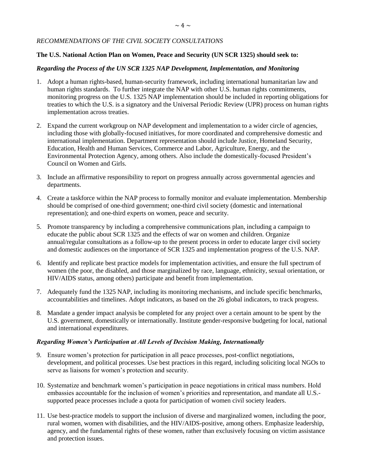#### <span id="page-3-0"></span>*RECOMMENDATIONS OF THE CIVIL SOCIETY CONSULTATIONS*

#### **The U.S. National Action Plan on Women, Peace and Security (UN SCR 1325) should seek to:**

#### *Regarding the Process of the UN SCR 1325 NAP Development, Implementation, and Monitoring*

- 1. Adopt a human rights-based, human-security framework, including international humanitarian law and human rights standards. To further integrate the NAP with other U.S. human rights commitments, monitoring progress on the U.S. 1325 NAP implementation should be included in reporting obligations for treaties to which the U.S. is a signatory and the Universal Periodic Review (UPR) process on human rights implementation across treaties.
- 2. Expand the current workgroup on NAP development and implementation to a wider circle of agencies, including those with globally-focused initiatives, for more coordinated and comprehensive domestic and international implementation. Department representation should include Justice, Homeland Security, Education, Health and Human Services, Commerce and Labor, Agriculture, Energy, and the Environmental Protection Agency, among others. Also include the domestically-focused President's Council on Women and Girls.
- 3. Include an affirmative responsibility to report on progress annually across governmental agencies and departments.
- 4. Create a taskforce within the NAP process to formally monitor and evaluate implementation. Membership should be comprised of one-third government; one-third civil society (domestic and international representation); and one-third experts on women, peace and security.
- 5. Promote transparency by including a comprehensive communications plan, including a campaign to educate the public about SCR 1325 and the effects of war on women and children. Organize annual/regular consultations as a follow-up to the present process in order to educate larger civil society and domestic audiences on the importance of SCR 1325 and implementation progress of the U.S. NAP.
- 6. Identify and replicate best practice models for implementation activities, and ensure the full spectrum of women (the poor, the disabled, and those marginalized by race, language, ethnicity, sexual orientation, or HIV/AIDS status, among others) participate and benefit from implementation.
- 7. Adequately fund the 1325 NAP, including its monitoring mechanisms, and include specific benchmarks, accountabilities and timelines. Adopt indicators, as based on the 26 global indicators, to track progress.
- 8. Mandate a gender impact analysis be completed for any project over a certain amount to be spent by the U.S. government, domestically or internationally. Institute gender-responsive budgeting for local, national and international expenditures.

#### *Regarding Women's Participation at All Levels of Decision Making, Internationally*

- 9. Ensure women's protection for participation in all peace processes, post-conflict negotiations, development, and political processes. Use best practices in this regard, including soliciting local NGOs to serve as liaisons for women's protection and security.
- 10. Systematize and benchmark women's participation in peace negotiations in critical mass numbers. Hold embassies accountable for the inclusion of women's priorities and representation, and mandate all U.S. supported peace processes include a quota for participation of women civil society leaders.
- 11. Use best-practice models to support the inclusion of diverse and marginalized women, including the poor, rural women, women with disabilities, and the HIV/AIDS-positive, among others. Emphasize leadership, agency, and the fundamental rights of these women, rather than exclusively focusing on victim assistance and protection issues.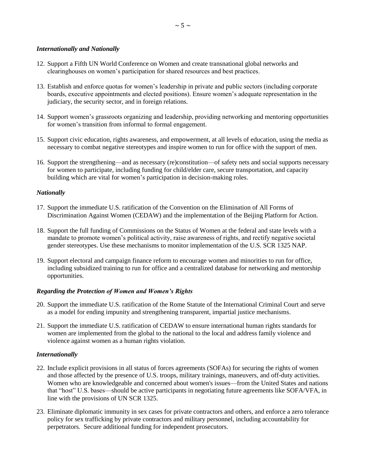#### *Internationally and Nationally*

- 12. Support a Fifth UN World Conference on Women and create transnational global networks and clearinghouses on women's participation for shared resources and best practices.
- 13. Establish and enforce quotas for women's leadership in private and public sectors (including corporate boards, executive appointments and elected positions). Ensure women's adequate representation in the judiciary, the security sector, and in foreign relations.
- 14. Support women's grassroots organizing and leadership, providing networking and mentoring opportunities for women's transition from informal to formal engagement.
- 15. Support civic education, rights awareness, and empowerment, at all levels of education, using the media as necessary to combat negative stereotypes and inspire women to run for office with the support of men.
- 16. Support the strengthening—and as necessary (re)constitution—of safety nets and social supports necessary for women to participate, including funding for child/elder care, secure transportation, and capacity building which are vital for women's participation in decision-making roles.

#### *Nationally*

- 17. Support the immediate U.S. ratification of the Convention on the Elimination of All Forms of Discrimination Against Women (CEDAW) and the implementation of the Beijing Platform for Action.
- 18. Support the full funding of Commissions on the Status of Women at the federal and state levels with a mandate to promote women's political activity, raise awareness of rights, and rectify negative societal gender stereotypes. Use these mechanisms to monitor implementation of the U.S. SCR 1325 NAP.
- 19. Support electoral and campaign finance reform to encourage women and minorities to run for office, including subsidized training to run for office and a centralized database for networking and mentorship opportunities.

#### *Regarding the Protection of Women and Women's Rights*

- 20. Support the immediate U.S. ratification of the Rome Statute of the International Criminal Court and serve as a model for ending impunity and strengthening transparent, impartial justice mechanisms.
- 21. Support the immediate U.S. ratification of CEDAW to ensure international human rights standards for women are implemented from the global to the national to the local and address family violence and violence against women as a human rights violation.

#### *Internationally*

- 22. Include explicit provisions in all status of forces agreements (SOFAs) for securing the rights of women and those affected by the presence of U.S. troops, military trainings, maneuvers, and off-duty activities. Women who are knowledgeable and concerned about women's issues—from the United States and nations that "host" U.S. bases—should be active participants in negotiating future agreements like SOFA/VFA, in line with the provisions of UN SCR 1325.
- 23. Eliminate diplomatic immunity in sex cases for private contractors and others, and enforce a zero tolerance policy for sex trafficking by private contractors and military personnel, including accountability for perpetrators. Secure additional funding for independent prosecutors.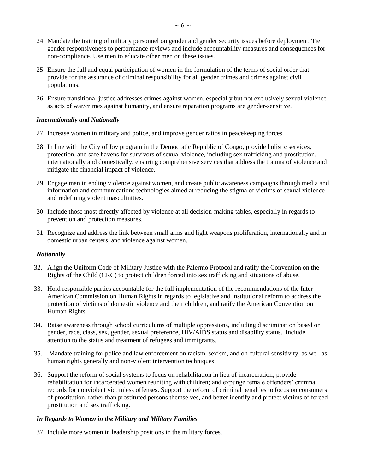- 24. Mandate the training of military personnel on gender and gender security issues before deployment. Tie gender responsiveness to performance reviews and include accountability measures and consequences for non-compliance. Use men to educate other men on these issues.
- 25. Ensure the full and equal participation of women in the formulation of the terms of social order that provide for the assurance of criminal responsibility for all gender crimes and crimes against civil populations.
- 26. Ensure transitional justice addresses crimes against women, especially but not exclusively sexual violence as acts of war/crimes against humanity, and ensure reparation programs are gender-sensitive.

#### *Internationally and Nationally*

- 27. Increase women in military and police, and improve gender ratios in peacekeeping forces.
- 28. In line with the City of Joy program in the Democratic Republic of Congo, provide holistic services, protection, and safe havens for survivors of sexual violence, including sex trafficking and prostitution, internationally and domestically, ensuring comprehensive services that address the trauma of violence and mitigate the financial impact of violence.
- 29. Engage men in ending violence against women, and create public awareness campaigns through media and information and communications technologies aimed at reducing the stigma of victims of sexual violence and redefining violent masculinities.
- 30. Include those most directly affected by violence at all decision-making tables, especially in regards to prevention and protection measures.
- 31. Recognize and address the link between small arms and light weapons proliferation, internationally and in domestic urban centers, and violence against women.

#### *Nationally*

- 32. Align the Uniform Code of Military Justice with the Palermo Protocol and ratify the Convention on the Rights of the Child (CRC) to protect children forced into sex trafficking and situations of abuse.
- 33. Hold responsible parties accountable for the full implementation of the recommendations of the Inter-American Commission on Human Rights in regards to legislative and institutional reform to address the protection of victims of domestic violence and their children, and ratify the American Convention on Human Rights.
- 34. Raise awareness through school curriculums of multiple oppressions, including discrimination based on gender, race, class, sex, gender, sexual preference, HIV/AIDS status and disability status. Include attention to the status and treatment of refugees and immigrants.
- 35. Mandate training for police and law enforcement on racism, sexism, and on cultural sensitivity, as well as human rights generally and non-violent intervention techniques.
- 36. Support the reform of social systems to focus on rehabilitation in lieu of incarceration; provide rehabilitation for incarcerated women reuniting with children; and expunge female offenders' criminal records for nonviolent victimless offenses. Support the reform of criminal penalties to focus on consumers of prostitution, rather than prostituted persons themselves, and better identify and protect victims of forced prostitution and sex trafficking.

#### *In Regards to Women in the Military and Military Families*

37. Include more women in leadership positions in the military forces.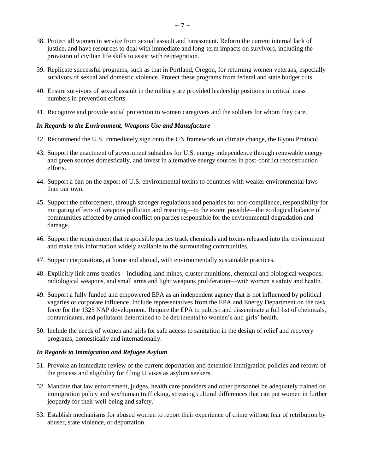- 38. Protect all women in service from sexual assault and harassment. Reform the current internal lack of justice, and have resources to deal with immediate and long-term impacts on survivors, including the provision of civilian life skills to assist with reintegration.
- 39. Replicate successful programs, such as that in Portland, Oregon, for returning women veterans, especially survivors of sexual and domestic violence. Protect these programs from federal and state budget cuts.
- 40. Ensure survivors of sexual assault in the military are provided leadership positions in critical mass numbers in prevention efforts.
- 41. Recognize and provide social protection to women caregivers and the soldiers for whom they care.

#### *In Regards to the Environment, Weapons Use and Manufacture*

- 42. Recommend the U.S. immediately sign onto the UN framework on climate change, the Kyoto Protocol.
- 43. Support the enactment of government subsidies for U.S. energy independence through renewable energy and green sources domestically, and invest in alternative energy sources in post-conflict reconstruction efforts.
- 44. Support a ban on the export of U.S. environmental toxins to countries with weaker environmental laws than our own.
- 45. Support the enforcement, through stronger regulations and penalties for non-compliance, responsibility for mitigating effects of weapons pollution and restoring—to the extent possible—the ecological balance of communities affected by armed conflict on parties responsible for the environmental degradation and damage.
- 46. Support the requirement that responsible parties track chemicals and toxins released into the environment and make this information widely available to the surrounding communities.
- 47. Support corporations, at home and abroad, with environmentally sustainable practices.
- 48. Explicitly link arms treaties—including land mines, cluster munitions, chemical and biological weapons, radiological weapons, and small arms and light weapons proliferation—with women's safety and health.
- 49. Support a fully funded and empowered EPA as an independent agency that is not influenced by political vagaries or corporate influence. Include representatives from the EPA and Energy Department on the task force for the 1325 NAP development. Require the EPA to publish and disseminate a full list of chemicals, contaminants, and pollutants determined to be detrimental to women's and girls' health.
- 50. Include the needs of women and girls for safe access to sanitation in the design of relief and recovery programs, domestically and internationally.

#### *In Regards to Immigration and Refugee Asylum*

- 51. Provoke an immediate review of the current deportation and detention immigration policies and reform of the process and eligibility for filing U visas as asylum seekers.
- 52. Mandate that law enforcement, judges, health care providers and other personnel be adequately trained on immigration policy and sex/human trafficking, stressing cultural differences that can put women in further jeopardy for their well-being and safety.
- 53. Establish mechanisms for abused women to report their experience of crime without fear of retribution by abuser, state violence, or deportation.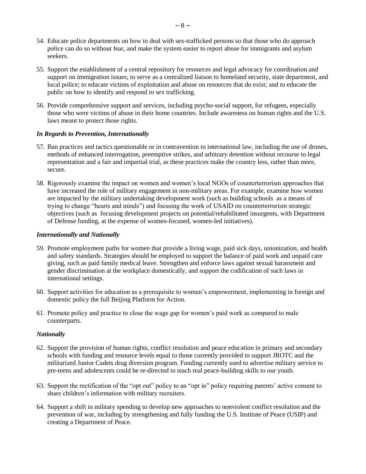- 54. Educate police departments on how to deal with sex-trafficked persons so that those who do approach police can do so without fear, and make the system easier to report abuse for immigrants and asylum seekers.
- 55. Support the establishment of a central repository for resources and legal advocacy for coordination and support on immigration issues; to serve as a centralized liaison to homeland security, state department, and local police; to educate victims of exploitation and abuse on resources that do exist; and to educate the public on how to identify and respond to sex trafficking.
- 56. Provide comprehensive support and services, including psycho-social support, for refugees, especially those who were victims of abuse in their home countries. Include awareness on human rights and the U.S. laws meant to protect those rights.

### *In Regards to Prevention, Internationally*

- 57. Ban practices and tactics questionable or in contravention to international law, including the use of drones, methods of enhanced interrogation, preemptive strikes, and arbitrary detention without recourse to legal representation and a fair and impartial trial, as these practices make the country less, rather than more, secure.
- 58. Rigorously examine the impact on women and women's local NGOs of counterterrorism approaches that have increased the role of military engagement in non-military areas. For example, examine how women are impacted by the military undertaking development work (such as building schools as a means of trying to change "hearts and minds") and focusing the work of USAID on counterterrorism strategic objectives (such as focusing development projects on potential/rehabilitated insurgents, with Department of Defense funding, at the expense of women-focused, women-led initiatives).

### *Internationally and Nationally*

- 59. Promote employment paths for women that provide a living wage, paid sick days, unionization, and health and safety standards. Strategies should be employed to support the balance of paid work and unpaid care giving, such as paid family medical leave. Strengthen and enforce laws against sexual harassment and gender discrimination at the workplace domestically, and support the codification of such laws in international settings.
- 60. Support activities for education as a prerequisite to women's empowerment, implementing in foreign and domestic policy the full Beijing Platform for Action.
- 61. Promote policy and practice to close the wage gap for women's paid work as compared to male counterparts.

#### *Nationally*

- 62. Support the provision of human rights, conflict resolution and peace education in primary and secondary schools with funding and resource levels equal to those currently provided to support JROTC and the militarized Junior Cadets drug diversion program. Funding currently used to advertise military service to pre-teens and adolescents could be re-directed to teach real peace-building skills to our youth.
- 63. Support the rectification of the "opt out" policy to an "opt in" policy requiring parents' active consent to share children's information with military recruiters.
- 64. Support a shift in military spending to develop new approaches to nonviolent conflict resolution and the prevention of war, including by strengthening and fully funding the U.S. Institute of Peace (USIP) and creating a Department of Peace.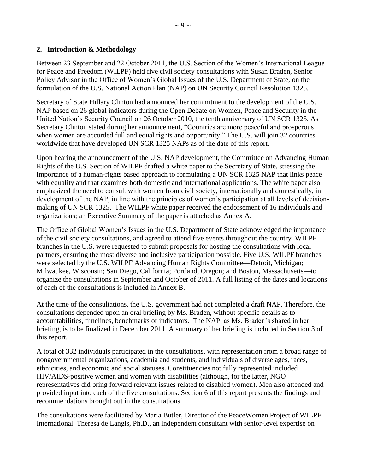# <span id="page-8-0"></span>**2. Introduction & Methodology**

Between 23 September and 22 October 2011, the U.S. Section of the Women's International League for Peace and Freedom (WILPF) held five civil society consultations with Susan Braden, Senior Policy Advisor in the Office of Women's Global Issues of the U.S. Department of State, on the formulation of the U.S. National Action Plan (NAP) on UN Security Council Resolution 1325.

Secretary of State Hillary Clinton had announced her commitment to the development of the U.S. NAP based on 26 global indicators during the Open Debate on Women, Peace and Security in the United Nation's Security Council on 26 October 2010, the tenth anniversary of UN SCR 1325. As Secretary Clinton stated during her announcement, "Countries are more peaceful and prosperous when women are accorded full and equal rights and opportunity." The U.S. will join 32 countries worldwide that have developed UN SCR 1325 NAPs as of the date of this report.

Upon hearing the announcement of the U.S. NAP development, the Committee on Advancing Human Rights of the U.S. Section of WILPF drafted a white paper to the Secretary of State, stressing the importance of a human-rights based approach to formulating a UN SCR 1325 NAP that links peace with equality and that examines both domestic and international applications. The white paper also emphasized the need to consult with women from civil society, internationally and domestically, in development of the NAP, in line with the principles of women's participation at all levels of decisionmaking of UN SCR 1325. The WILPF white paper received the endorsement of 16 individuals and organizations; an Executive Summary of the paper is attached as Annex A.

The Office of Global Women's Issues in the U.S. Department of State acknowledged the importance of the civil society consultations, and agreed to attend five events throughout the country. WILPF branches in the U.S. were requested to submit proposals for hosting the consultations with local partners, ensuring the most diverse and inclusive participation possible. Five U.S. WILPF branches were selected by the U.S. WILPF Advancing Human Rights Committee—Detroit, Michigan; Milwaukee, Wisconsin; San Diego, California; Portland, Oregon; and Boston, Massachusetts—to organize the consultations in September and October of 2011. A full listing of the dates and locations of each of the consultations is included in Annex B.

At the time of the consultations, the U.S. government had not completed a draft NAP. Therefore, the consultations depended upon an oral briefing by Ms. Braden, without specific details as to accountabilities, timelines, benchmarks or indicators. The NAP, as Ms. Braden's shared in her briefing, is to be finalized in December 2011. A summary of her briefing is included in Section 3 of this report.

A total of 332 individuals participated in the consultations, with representation from a broad range of nongovernmental organizations, academia and students, and individuals of diverse ages, races, ethnicities, and economic and social statuses. Constituencies not fully represented included HIV/AIDS-positive women and women with disabilities (although, for the latter, NGO representatives did bring forward relevant issues related to disabled women). Men also attended and provided input into each of the five consultations. Section 6 of this report presents the findings and recommendations brought out in the consultations.

The consultations were facilitated by Maria Butler, Director of the PeaceWomen Project of WILPF International. Theresa de Langis, Ph.D., an independent consultant with senior-level expertise on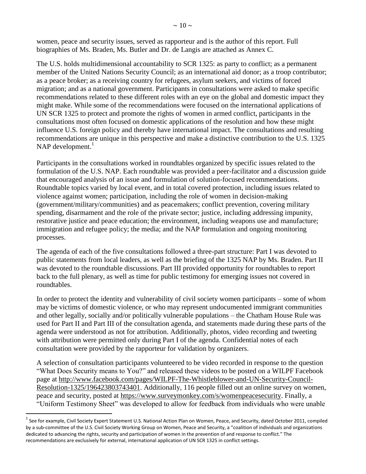women, peace and security issues, served as rapporteur and is the author of this report. Full biographies of Ms. Braden, Ms. Butler and Dr. de Langis are attached as Annex C.

The U.S. holds multidimensional accountability to SCR 1325: as party to conflict; as a permanent member of the United Nations Security Council; as an international aid donor; as a troop contributor; as a peace broker; as a receiving country for refugees, asylum seekers, and victims of forced migration; and as a national government. Participants in consultations were asked to make specific recommendations related to these different roles with an eye on the global and domestic impact they might make. While some of the recommendations were focused on the international applications of UN SCR 1325 to protect and promote the rights of women in armed conflict, participants in the consultations most often focused on domestic applications of the resolution and how these might influence U.S. foreign policy and thereby have international impact. The consultations and resulting recommendations are unique in this perspective and make a distinctive contribution to the U.S. 1325 NAP development. $<sup>1</sup>$ </sup>

Participants in the consultations worked in roundtables organized by specific issues related to the formulation of the U.S. NAP. Each roundtable was provided a peer-facilitator and a discussion guide that encouraged analysis of an issue and formulation of solution-focused recommendations. Roundtable topics varied by local event, and in total covered protection, including issues related to violence against women; participation, including the role of women in decision-making (government/military/communities) and as peacemakers; conflict prevention, covering military spending, disarmament and the role of the private sector; justice, including addressing impunity, restorative justice and peace education; the environment, including weapons use and manufacture; immigration and refugee policy; the media; and the NAP formulation and ongoing monitoring processes.

The agenda of each of the five consultations followed a three-part structure: Part I was devoted to public statements from local leaders, as well as the briefing of the 1325 NAP by Ms. Braden. Part II was devoted to the roundtable discussions. Part III provided opportunity for roundtables to report back to the full plenary, as well as time for public testimony for emerging issues not covered in roundtables.

In order to protect the identity and vulnerability of civil society women participants – some of whom may be victims of domestic violence, or who may represent undocumented immigrant communities and other legally, socially and/or politically vulnerable populations – the Chatham House Rule was used for Part II and Part III of the consultation agenda, and statements made during these parts of the agenda were understood as not for attribution. Additionally, photos, video recording and tweeting with attribution were permitted only during Part I of the agenda. Confidential notes of each consultation were provided by the rapporteur for validation by organizers.

A selection of consultation participants volunteered to be video recorded in response to the question "What Does Security means to You?" and released these videos to be posted on a WILPF Facebook page at [http://www.facebook.com/pages/WILPF-The-Whistleblower-and-UN-Security-Council-](http://www.facebook.com/pages/WILPF-The-Whistleblower-and-UN-Security-Council-Resolution-1325/196423803743401)[Resolution-1325/196423803743401.](http://www.facebook.com/pages/WILPF-The-Whistleblower-and-UN-Security-Council-Resolution-1325/196423803743401) Additionally, 116 people filled out an online survey on women, peace and security, posted at [https://www.surveymonkey.com/s/womenpeacesecurity.](https://www.surveymonkey.com/s/womenpeacesecurity) Finally, a "Uniform Testimony Sheet" was developed to allow for feedback from individuals who were unable

 $\overline{\phantom{a}}$ 

 $^1$  See for example, Civil Society Expert Statement U.S. National Action Plan on Women, Peace, and Security, dated October 2011, compiled by a sub-committee of the U.S. Civil Society Working Group on Women, Peace and Security, a "coalition of individuals and organizations dedicated to advancing the rights, security and participation of women in the prevention of and response to conflict." The recommendations are exclusively for external, international application of UN SCR 1325 in conflict settings.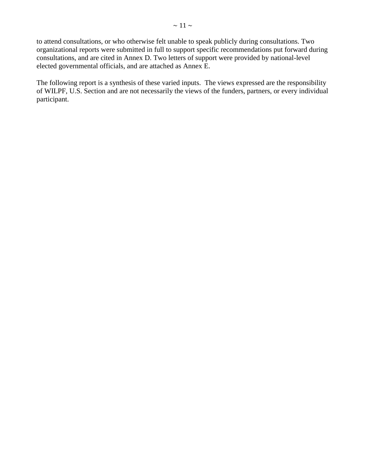to attend consultations, or who otherwise felt unable to speak publicly during consultations. Two organizational reports were submitted in full to support specific recommendations put forward during consultations, and are cited in Annex D. Two letters of support were provided by national-level elected governmental officials, and are attached as Annex E.

The following report is a synthesis of these varied inputs. The views expressed are the responsibility of WILPF, U.S. Section and are not necessarily the views of the funders, partners, or every individual participant.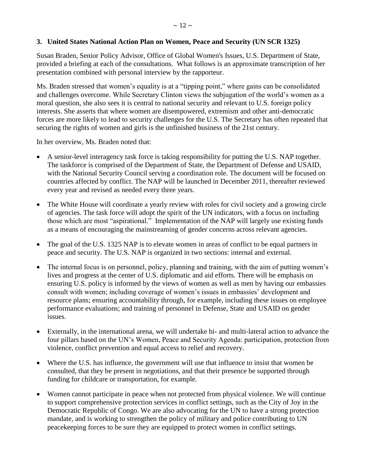# <span id="page-11-0"></span>**3. United States National Action Plan on Women, Peace and Security (UN SCR 1325)**

Susan Braden, Senior Policy Advisor, Office of Global Women's Issues, U.S. Department of State, provided a briefing at each of the consultations. What follows is an approximate transcription of her presentation combined with personal interview by the rapporteur.

Ms. Braden stressed that women's equality is at a "tipping point," where gains can be consolidated and challenges overcome. While Secretary Clinton views the subjugation of the world's women as a moral question, she also sees it is central to national security and relevant to U.S. foreign policy interests. She asserts that where women are disempowered, extremism and other anti-democratic forces are more likely to lead to security challenges for the U.S. The Secretary has often repeated that securing the rights of women and girls is the unfinished business of the 21st century.

In her overview, Ms. Braden noted that:

- A senior-level interagency task force is taking responsibility for putting the U.S. NAP together. The taskforce is comprised of the Department of State, the Department of Defense and USAID, with the National Security Council serving a coordination role. The document will be focused on countries affected by conflict. The NAP will be launched in December 2011, thereafter reviewed every year and revised as needed every three years.
- The White House will coordinate a yearly review with roles for civil society and a growing circle of agencies. The task force will adopt the spirit of the UN indicators, with a focus on including those which are most "aspirational." Implementation of the NAP will largely use existing funds as a means of encouraging the mainstreaming of gender concerns across relevant agencies.
- The goal of the U.S. 1325 NAP is to elevate women in areas of conflict to be equal partners in peace and security. The U.S. NAP is organized in two sections: internal and external.
- The internal focus is on personnel, policy, planning and training, with the aim of putting women's lives and progress at the center of U.S. diplomatic and aid efforts. There will be emphasis on ensuring U.S. policy is informed by the views of women as well as men by having our embassies consult with women; including coverage of women's issues in embassies' development and resource plans; ensuring accountability through, for example, including these issues on employee performance evaluations; and training of personnel in Defense, State and USAID on gender issues.
- Externally, in the international arena, we will undertake bi- and multi-lateral action to advance the four pillars based on the UN's Women, Peace and Security Agenda: participation, protection from violence, conflict prevention and equal access to relief and recovery.
- Where the U.S. has influence, the government will use that influence to insist that women be consulted, that they be present in negotiations, and that their presence be supported through funding for childcare or transportation, for example.
- Women cannot participate in peace when not protected from physical violence. We will continue to support comprehensive protection services in conflict settings, such as the City of Joy in the Democratic Republic of Congo. We are also advocating for the UN to have a strong protection mandate, and is working to strengthen the policy of military and police contributing to UN peacekeeping forces to be sure they are equipped to protect women in conflict settings.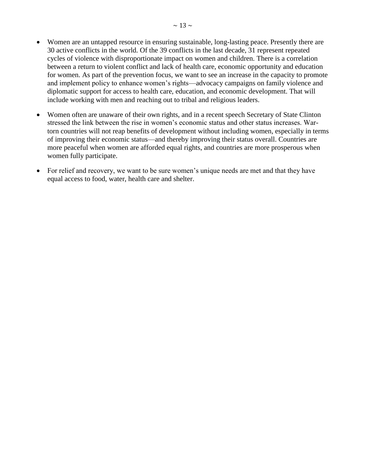- Women are an untapped resource in ensuring sustainable, long-lasting peace. Presently there are 30 active conflicts in the world. Of the 39 conflicts in the last decade, 31 represent repeated cycles of violence with disproportionate impact on women and children. There is a correlation between a return to violent conflict and lack of health care, economic opportunity and education for women. As part of the prevention focus, we want to see an increase in the capacity to promote and implement policy to enhance women's rights—advocacy campaigns on family violence and diplomatic support for access to health care, education, and economic development. That will include working with men and reaching out to tribal and religious leaders.
- Women often are unaware of their own rights, and in a recent speech Secretary of State Clinton stressed the link between the rise in women's economic status and other status increases. Wartorn countries will not reap benefits of development without including women, especially in terms of improving their economic status—and thereby improving their status overall. Countries are more peaceful when women are afforded equal rights, and countries are more prosperous when women fully participate.
- For relief and recovery, we want to be sure women's unique needs are met and that they have equal access to food, water, health care and shelter.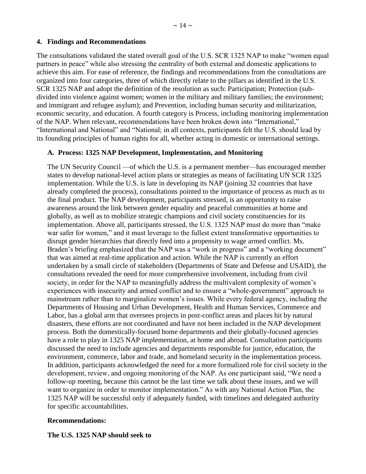#### <span id="page-13-0"></span>**4. Findings and Recommendations**

The consultations validated the stated overall goal of the U.S. SCR 1325 NAP to make "women equal partners in peace" while also stressing the centrality of both external and domestic applications to achieve this aim. For ease of reference, the findings and recommendations from the consultations are organized into four categories, three of which directly relate to the pillars as identified in the U.S. SCR 1325 NAP and adopt the definition of the resolution as such: Participation; Protection (subdivided into violence against women; women in the military and military families; the environment; and immigrant and refugee asylum); and Prevention, including human security and militarization, economic security, and education. A fourth category is Process, including monitoring implementation of the NAP. When relevant, recommendations have been broken down into "International," "International and National" and "National; in all contexts, participants felt the U.S. should lead by its founding principles of human rights for all, whether acting in domestic or international settings.

### <span id="page-13-1"></span>**A. Process: 1325 NAP Development, Implementation, and Monitoring**

The UN Security Council —of which the U.S. is a permanent member—has encouraged member states to develop national-level action plans or strategies as means of facilitating UN SCR 1325 implementation. While the U.S. is late in developing its NAP (joining 32 countries that have already completed the process), consultations pointed to the importance of process as much as to the final product. The NAP development, participants stressed, is an opportunity to raise awareness around the link between gender equality and peaceful communities at home and globally, as well as to mobilize strategic champions and civil society constituencies for its implementation. Above all, participants stressed, the U.S. 1325 NAP must do more than "make war safer for women," and it must leverage to the fullest extent transformative opportunities to disrupt gender hierarchies that directly feed into a propensity to wage armed conflict. Ms. Braden's briefing emphasized that the NAP was a "work in progress" and a "working document" that was aimed at real-time application and action. While the NAP is currently an effort undertaken by a small circle of stakeholders (Departments of State and Defense and USAID), the consultations revealed the need for more comprehensive involvement, including from civil society, in order for the NAP to meaningfully address the multivalent complexity of women's experiences with insecurity and armed conflict and to ensure a "whole-government" approach to mainstream rather than to marginalize women's issues. While every federal agency, including the Departments of Housing and Urban Development, Health and Human Services, Commerce and Labor, has a global arm that oversees projects in post-conflict areas and places hit by natural disasters, these efforts are not coordinated and have not been included in the NAP development process. Both the domestically-focused home departments and their globally-focused agencies have a role to play in 1325 NAP implementation, at home and abroad. Consultation participants discussed the need to include agencies and departments responsible for justice, education, the environment, commerce, labor and trade, and homeland security in the implementation process. In addition, participants acknowledged the need for a more formalized role for civil society in the development, review, and ongoing monitoring of the NAP. As one participant said, "We need a follow-up meeting, because this cannot be the last time we talk about these issues, and we will want to organize in order to monitor implementation." As with any National Action Plan, the 1325 NAP will be successful only if adequately funded, with timelines and delegated authority for specific accountabilities.

#### **Recommendations:**

#### **The U.S. 1325 NAP should seek to**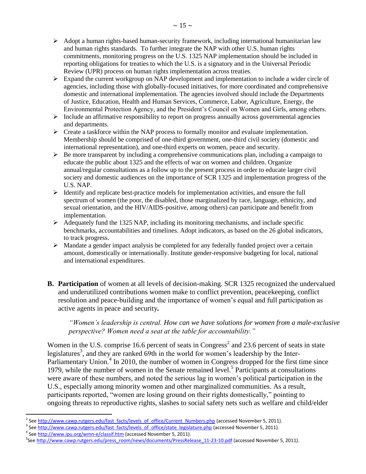- $\triangleright$  Adopt a human rights-based human-security framework, including international humanitarian law and human rights standards. To further integrate the NAP with other U.S. human rights commitments, monitoring progress on the U.S. 1325 NAP implementation should be included in reporting obligations for treaties to which the U.S. is a signatory and in the Universal Periodic Review (UPR) process on human rights implementation across treaties.
- $\triangleright$  Expand the current workgroup on NAP development and implementation to include a wider circle of agencies, including those with globally-focused initiatives, for more coordinated and comprehensive domestic and international implementation. The agencies involved should include the Departments of Justice, Education, Health and Human Services, Commerce, Labor, Agriculture, Energy, the Environmental Protection Agency, and the President's Council on Women and Girls, among others.
- $\triangleright$  Include an affirmative responsibility to report on progress annually across governmental agencies and departments.
- $\triangleright$  Create a taskforce within the NAP process to formally monitor and evaluate implementation. Membership should be comprised of one-third government, one-third civil society (domestic and international representation), and one-third experts on women, peace and security.
- $\triangleright$  Be more transparent by including a comprehensive communications plan, including a campaign to educate the public about 1325 and the effects of war on women and children. Organize annual/regular consultations as a follow up to the present process in order to educate larger civil society and domestic audiences on the importance of SCR 1325 and implementation progress of the U.S. NAP.
- $\triangleright$  Identify and replicate best-practice models for implementation activities, and ensure the full spectrum of women (the poor, the disabled, those marginalized by race, language, ethnicity, and sexual orientation, and the HIV/AIDS-positive, among others) can participate and benefit from implementation.
- $\triangleright$  Adequately fund the 1325 NAP, including its monitoring mechanisms, and include specific benchmarks, accountabilities and timelines. Adopt indicators, as based on the 26 global indicators, to track progress.
- $\triangleright$  Mandate a gender impact analysis be completed for any federally funded project over a certain amount, domestically or internationally. Institute gender-responsive budgeting for local, national and international expenditures.
- <span id="page-14-0"></span>**B.** Participation of women at all levels of decision-making. SCR 1325 recognized the undervalued and underutilized contributions women make to conflict prevention, peacekeeping, conflict resolution and peace-building and the importance of women's equal and full participation as active agents in peace and security*.*

*"Women's leadership is central. How can we have solutions for women from a male-exclusive perspective? Women need a seat at the table for accountability."*

Women in the U.S. comprise 16.6 percent of seats in Congress<sup>2</sup> and 23.6 percent of seats in state legislatures<sup>3</sup>, and they are ranked 69th in the world for women's leadership by the Inter-Parliamentary Union.<sup>4</sup> In 2010, the number of women in Congress dropped for the first time since 1979, while the number of women in the Senate remained level.<sup>5</sup> Participants at consultations were aware of these numbers, and noted the serious lag in women's political participation in the U.S., especially among minority women and other marginalized communities. As a result, participants reported, "women are losing ground on their rights domestically," pointing to ongoing threats to reproductive rights, slashes to social safety nets such as welfare and child/elder

 $\overline{\phantom{a}}$ 

<sup>&</sup>lt;sup>2</sup> Se[e http://www.cawp.rutgers.edu/fast\\_facts/levels\\_of\\_office/Current\\_Numbers.php](http://www.cawp.rutgers.edu/fast_facts/levels_of_office/Current_Numbers.php) (accessed November 5, 2011).

<sup>&</sup>lt;sup>3</sup> Se[e http://www.cawp.rutgers.edu/fast\\_facts/levels\\_of\\_office/state\\_legislature.php](http://www.cawp.rutgers.edu/fast_facts/levels_of_office/state_legislature.php) (accessed November 5, 2011).

<sup>&</sup>lt;sup>4</sup> Se[e http://www.ipu.org/wmn-e/classif.htm](http://www.ipu.org/wmn-e/classif.htm) (accessed November 5, 2011).

<sup>&</sup>lt;sup>5</sup>Se[e http://www.cawp.rutgers.edu/press\\_room/news/documents/PressRelease\\_11-23-10.pdf](http://www.cawp.rutgers.edu/press_room/news/documents/PressRelease_11-23-10.pdf) (accessed November 5, 2011).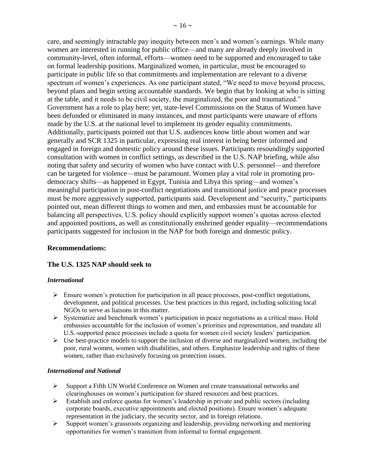care, and seemingly intractable pay inequity between men's and women's earnings. While many women are interested in running for public office—and many are already deeply involved in community-level, often informal, efforts—women need to be supported and encouraged to take on formal leadership positions. Marginalized women, in particular, must be encouraged to participate in public life so that commitments and implementation are relevant to a diverse spectrum of women's experiences. As one participant stated, "We need to move beyond process, beyond plans and begin setting accountable standards. We begin that by looking at who is sitting at the table, and it needs to be civil society, the marginalized, the poor and traumatized." Government has a role to play here; yet, state-level Commissions on the Status of Women have been defunded or eliminated in many instances, and most participants were unaware of efforts made by the U.S. at the national level to implement its gender equality commitments. Additionally, participants pointed out that U.S. audiences know little about women and war generally and SCR 1325 in particular, expressing real interest in being better informed and engaged in foreign and domestic policy around these issues. Participants resoundingly supported consultation with women in conflict settings, as described in the U.S. NAP briefing, while also noting that safety and security of women who have contact with U.S. personnel—and therefore can be targeted for violence—must be paramount. Women play a vital role in promoting prodemocracy shifts—as happened in Egypt, Tunisia and Libya this spring—and women's meaningful participation in post-conflict negotiations and transitional justice and peace processes must be more aggressively supported, participants said. Development and "security," participants pointed out, mean different things to women and men, and embassies must be accountable for balancing all perspectives. U.S. policy should explicitly support women's quotas across elected and appointed positions, as well as constitutionally enshrined gender equality—recommendations participants suggested for inclusion in the NAP for both foreign and domestic policy.

### **Recommendations:**

# **The U.S. 1325 NAP should seek to**

### *International*

- $\triangleright$  Ensure women's protection for participation in all peace processes, post-conflict negotiations, development, and political processes. Use best practices in this regard, including soliciting local NGOs to serve as liaisons in this matter.
- $\triangleright$  Systematize and benchmark women's participation in peace negotiations as a critical mass. Hold embassies accountable for the inclusion of women's priorities and representation, and mandate all U.S.-supported peace processes include a quota for women civil society leaders' participation.
- $\triangleright$  Use best-practice models to support the inclusion of diverse and marginalized women, including the poor, rural women, women with disabilities, and others. Emphasize leadership and rights of these women, rather than exclusively focusing on protection issues.

#### *International and National*

- $\triangleright$  Support a Fifth UN World Conference on Women and create transnational networks and clearinghouses on women's participation for shared resources and best practices.
- $\triangleright$  Establish and enforce quotas for women's leadership in private and public sectors (including corporate boards, executive appointments and elected positions). Ensure women's adequate representation in the judiciary, the security sector, and in foreign relations.
- $\triangleright$  Support women's grassroots organizing and leadership, providing networking and mentoring opportunities for women's transition from informal to formal engagement.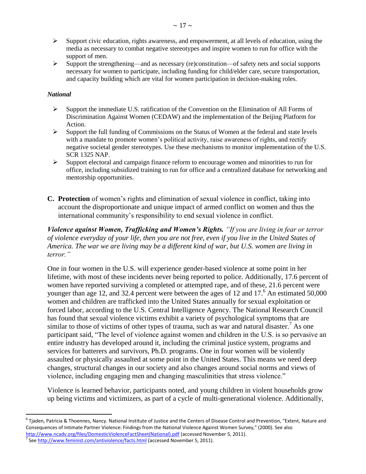- $\triangleright$  Support civic education, rights awareness, and empowerment, at all levels of education, using the media as necessary to combat negative stereotypes and inspire women to run for office with the support of men.
- $\triangleright$  Support the strengthening—and as necessary (re)constitution—of safety nets and social supports necessary for women to participate, including funding for child/elder care, secure transportation, and capacity building which are vital for women participation in decision-making roles.

# *National*

 $\overline{\phantom{a}}$ 

- $\triangleright$  Support the immediate U.S. ratification of the Convention on the Elimination of All Forms of Discrimination Against Women (CEDAW) and the implementation of the Beijing Platform for Action.
- $\triangleright$  Support the full funding of Commissions on the Status of Women at the federal and state levels with a mandate to promote women's political activity, raise awareness of rights, and rectify negative societal gender stereotypes. Use these mechanisms to monitor implementation of the U.S. SCR 1325 NAP.
- $\triangleright$  Support electoral and campaign finance reform to encourage women and minorities to run for office, including subsidized training to run for office and a centralized database for networking and mentorship opportunities.
- <span id="page-16-0"></span>**C. Protection** of women's rights and elimination of sexual violence in conflict, taking into account the disproportionate and unique impact of armed conflict on women and thus the international community's responsibility to end sexual violence in conflict.

*Violence against Women, Trafficking and Women's Rights. "If you are living in fear or terror of violence everyday of your life, then you are not free, even if you live in the United States of America. The war we are living may be a different kind of war, but U.S. women are living in terror."*

One in four women in the U.S. will experience gender-based violence at some point in her lifetime, with most of these incidents never being reported to police. Additionally, 17.6 percent of women have reported surviving a completed or attempted rape, and of these, 21.6 percent were younger than age 12, and 32.4 percent were between the ages of 12 and  $17<sup>6</sup>$  An estimated 50,000 women and children are trafficked into the United States annually for sexual exploitation or forced labor, according to the U.S. Central Intelligence Agency. The National Research Council has found that sexual violence victims exhibit a variety of psychological symptoms that are similar to those of victims of other types of trauma, such as war and natural disaster.<sup>7</sup> As one participant said, "The level of violence against women and children in the U.S. is so pervasive an entire industry has developed around it, including the criminal justice system, programs and services for batterers and survivors, Ph.D. programs. One in four women will be violently assaulted or physically assaulted at some point in the United States. This means we need deep changes, structural changes in our society and also changes around social norms and views of violence, including engaging men and changing masculinities that stress violence."

Violence is learned behavior, participants noted, and young children in violent households grow up being victims and victimizers, as part of a cycle of multi-generational violence. Additionally,

<sup>&</sup>lt;sup>6</sup> Tjaden, Patricia & Thoennes, Nancy. National Institute of Justice and the Centers of Disease Control and Prevention, "Extent, Nature and Consequences of Intimate Partner Violence: Findings from the National Violence Against Women Survey," (2000). See also [http://www.ncadv.org/files/DomesticViolenceFactSheet\(National\).pdf](http://www.ncadv.org/files/DomesticViolenceFactSheet(National).pdf) (accessed November 5, 2011).

<sup>&</sup>lt;sup>7</sup> Se[e http://www.feminist.com/antiviolence/facts.html](http://www.feminist.com/antiviolence/facts.html) (accessed November 5, 2011).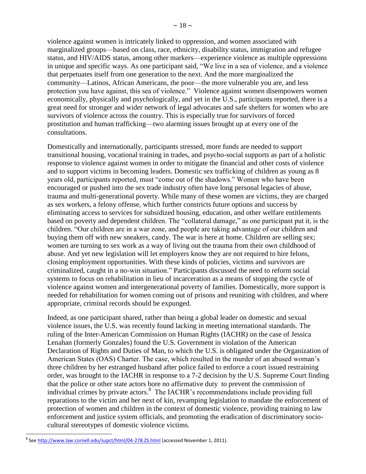violence against women is intricately linked to oppression, and women associated with marginalized groups—based on class, race, ethnicity, disability status, immigration and refugee status, and HIV/AIDS status, among other markers—experience violence as multiple oppressions in unique and specific ways. As one participant said, "We live in a sea of violence, and a violence that perpetuates itself from one generation to the next. And the more marginalized the community—Latinos, African Americans, the poor—the more vulnerable you are, and less protection you have against, this sea of violence." Violence against women disempowers women economically, physically and psychologically, and yet in the U.S., participants reported, there is a great need for stronger and wider network of legal advocates and safe shelters for women who are survivors of violence across the country. This is especially true for survivors of forced prostitution and human trafficking—two alarming issues brought up at every one of the consultations.

Domestically and internationally, participants stressed, more funds are needed to support transitional housing, vocational training in trades, and psycho-social supports as part of a holistic response to violence against women in order to mitigate the financial and other costs of violence and to support victims in becoming leaders. Domestic sex trafficking of children as young as 8 years old, participants reported, must "come out of the shadows." Women who have been encouraged or pushed into the sex trade industry often have long personal legacies of abuse, trauma and multi-generational poverty. While many of these women are victims, they are charged as sex workers, a felony offense, which further constricts future options and success by eliminating access to services for subsidized housing, education, and other welfare entitlements based on poverty and dependent children. The "collateral damage," as one participant put it, is the children. "Our children are in a war zone, and people are taking advantage of our children and buying them off with new sneakers, candy. The war is here at home. Children are selling sex; women are turning to sex work as a way of living out the trauma from their own childhood of abuse. And yet new legislation will let employers know they are not required to hire felons, closing employment opportunities. With these kinds of policies, victims and survivors are criminalized, caught in a no-win situation." Participants discussed the need to reform social systems to focus on rehabilitation in lieu of incarceration as a means of stopping the cycle of violence against women and intergenerational poverty of families. Domestically, more support is needed for rehabilitation for women coming out of prisons and reuniting with children, and where appropriate, criminal records should be expunged.

Indeed, as one participant shared, rather than being a global leader on domestic and sexual violence issues, the U.S. was recently found lacking in meeting international standards. The ruling of the Inter-American Commission on Human Rights (IACHR) on the case of Jessica Lenahan (formerly Gonzales) found the U.S. Government in violation of the American Declaration of Rights and Duties of Man, to which the U.S. is obligated under the Organization of American States (OAS) Charter. The case, which resulted in the murder of an abused woman's three children by her estranged husband after police failed to enforce a court issued restraining order, was brought to the IACHR in response to a 7-2 decision by the U.S. Supreme Court finding that the police or other state actors bore no affirmative duty to prevent the commission of individual crimes by private actors. 8 The IACHR's recommendations include providing full reparations to the victim and her next of kin, revamping legislation to mandate the enforcement of protection of women and children in the context of domestic violence, providing training to law enforcement and justice system officials, and promoting the eradication of discriminatory sociocultural stereotypes of domestic violence victims.

 $\overline{\phantom{a}}$ 

<sup>&</sup>lt;sup>8</sup> See <u>http://www.law.cornell.edu/supct/html/04-278.ZS.html</u> (accessed November 1, 2011).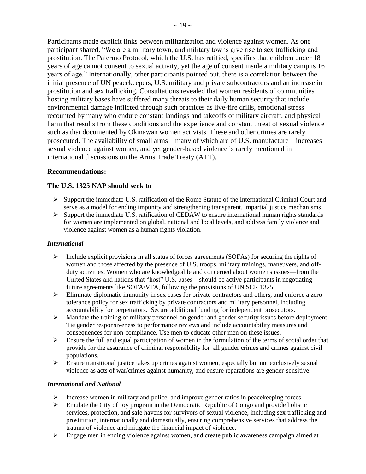Participants made explicit links between militarization and violence against women. As one participant shared, "We are a military town, and military towns give rise to sex trafficking and prostitution. The Palermo Protocol, which the U.S. has ratified, specifies that children under 18 years of age cannot consent to sexual activity, yet the age of consent inside a military camp is 16 years of age." Internationally, other participants pointed out, there is a correlation between the initial presence of UN peacekeepers, U.S. military and private subcontractors and an increase in prostitution and sex trafficking. Consultations revealed that women residents of communities hosting military bases have suffered many threats to their daily human security that include environmental damage inflicted through such practices as live-fire drills, emotional stress recounted by many who endure constant landings and takeoffs of military aircraft, and physical harm that results from these conditions and the experience and constant threat of sexual violence such as that documented by Okinawan women activists. These and other crimes are rarely prosecuted. The availability of small arms—many of which are of U.S. manufacture—increases sexual violence against women, and yet gender-based violence is rarely mentioned in international discussions on the Arms Trade Treaty (ATT).

### **Recommendations:**

# **The U.S. 1325 NAP should seek to**

- $\triangleright$  Support the immediate U.S. ratification of the Rome Statute of the International Criminal Court and serve as a model for ending impunity and strengthening transparent, impartial justice mechanisms.
- $\triangleright$  Support the immediate U.S. ratification of CEDAW to ensure international human rights standards for women are implemented on global, national and local levels, and address family violence and violence against women as a human rights violation.

### *International*

- $\triangleright$  Include explicit provisions in all status of forces agreements (SOFAs) for securing the rights of women and those affected by the presence of U.S. troops, military trainings, maneuvers, and offduty activities. Women who are knowledgeable and concerned about women's issues—from the United States and nations that "host" U.S. bases—should be active participants in negotiating future agreements like SOFA/VFA, following the provisions of UN SCR 1325.
- Eliminate diplomatic immunity in sex cases for private contractors and others, and enforce a zerotolerance policy for sex trafficking by private contractors and military personnel, including accountability for perpetrators. Secure additional funding for independent prosecutors.
- $\triangleright$  Mandate the training of military personnel on gender and gender security issues before deployment. Tie gender responsiveness to performance reviews and include accountability measures and consequences for non-compliance. Use men to educate other men on these issues.
- $\triangleright$  Ensure the full and equal participation of women in the formulation of the terms of social order that provide for the assurance of criminal responsibility for all gender crimes and crimes against civil populations.
- $\triangleright$  Ensure transitional justice takes up crimes against women, especially but not exclusively sexual violence as acts of war/crimes against humanity, and ensure reparations are gender-sensitive.

#### *International and National*

- Increase women in military and police, and improve gender ratios in peacekeeping forces.
- $\triangleright$  Emulate the City of Joy program in the Democratic Republic of Congo and provide holistic services, protection, and safe havens for survivors of sexual violence, including sex trafficking and prostitution, internationally and domestically, ensuring comprehensive services that address the trauma of violence and mitigate the financial impact of violence.
- $\triangleright$  Engage men in ending violence against women, and create public awareness campaign aimed at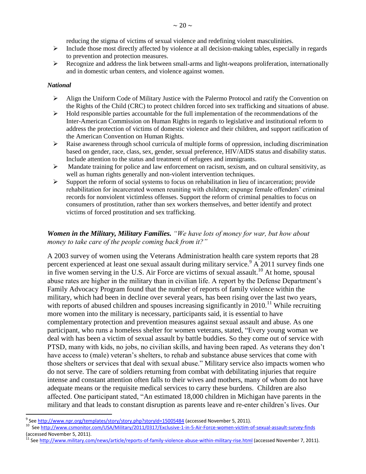reducing the stigma of victims of sexual violence and redefining violent masculinities.

- $\triangleright$  Include those most directly affected by violence at all decision-making tables, especially in regards to prevention and protection measures.
- $\triangleright$  Recognize and address the link between small-arms and light-weapons proliferation, internationally and in domestic urban centers, and violence against women.

### *National*

 $\overline{\phantom{a}}$ 

- Align the Uniform Code of Military Justice with the Palermo Protocol and ratify the Convention on the Rights of the Child (CRC) to protect children forced into sex trafficking and situations of abuse.
- $\triangleright$  Hold responsible parties accountable for the full implementation of the recommendations of the Inter-American Commission on Human Rights in regards to legislative and institutional reform to address the protection of victims of domestic violence and their children, and support ratification of the American Convention on Human Rights.
- $\triangleright$  Raise awareness through school curricula of multiple forms of oppression, including discrimination based on gender, race, class, sex, gender, sexual preference, HIV/AIDS status and disability status. Include attention to the status and treatment of refugees and immigrants.
- $\triangleright$  Mandate training for police and law enforcement on racism, sexism, and on cultural sensitivity, as well as human rights generally and non-violent intervention techniques.
- $\triangleright$  Support the reform of social systems to focus on rehabilitation in lieu of incarceration; provide rehabilitation for incarcerated women reuniting with children; expunge female offenders' criminal records for nonviolent victimless offenses. Support the reform of criminal penalties to focus on consumers of prostitution, rather than sex workers themselves, and better identify and protect victims of forced prostitution and sex trafficking.

# *Women in the Military, Military Families. "We have lots of money for war, but how about money to take care of the people coming back from it?"*

A 2003 survey of women using the Veterans Administration health care system reports that 28 percent experienced at least one sexual assault during military service.<sup>9</sup> A 2011 survey finds one in five women serving in the U.S. Air Force are victims of sexual assault.<sup>10</sup> At home, spousal abuse rates are higher in the military than in civilian life. A report by the Defense Department's Family Advocacy Program found that the number of reports of family violence within the military, which had been in decline over several years, has been rising over the last two years, with reports of abused children and spouses increasing significantly in 2010.<sup>11</sup> While recruiting more women into the military is necessary, participants said, it is essential to have complementary protection and prevention measures against sexual assault and abuse. As one participant, who runs a homeless shelter for women veterans, stated, "Every young woman we deal with has been a victim of sexual assault by battle buddies. So they come out of service with PTSD, many with kids, no jobs, no civilian skills, and having been raped. As veterans they don't have access to (male) veteran's shelters, to rehab and substance abuse services that come with those shelters or services that deal with sexual abuse." Military service also impacts women who do not serve. The care of soldiers returning from combat with debilitating injuries that require intense and constant attention often falls to their wives and mothers, many of whom do not have adequate means or the requisite medical services to carry these burdens. Children are also affected. One participant stated, "An estimated 18,000 children in Michigan have parents in the military and that leads to constant disruption as parents leave and re-enter children's lives. Our

<sup>&</sup>lt;sup>9</sup> See <u><http://www.npr.org/templates/story/story.php?storyId=15005484></u> (accessed November 5, 2011).

<sup>&</sup>lt;sup>10</sup> Se[e http://www.csmonitor.com/USA/Military/2011/0317/Exclusive-1-in-5-Air-Force-women-victim-of-sexual-assault-survey-finds](http://www.csmonitor.com/USA/Military/2011/0317/Exclusive-1-in-5-Air-Force-women-victim-of-sexual-assault-survey-finds) (accessed November 5, 2011).

Se[e http://www.military.com/news/article/reports-of-family-violence-abuse-within-military-rise.html](http://www.military.com/news/article/reports-of-family-violence-abuse-within-military-rise.html) (accessed November 7, 2011).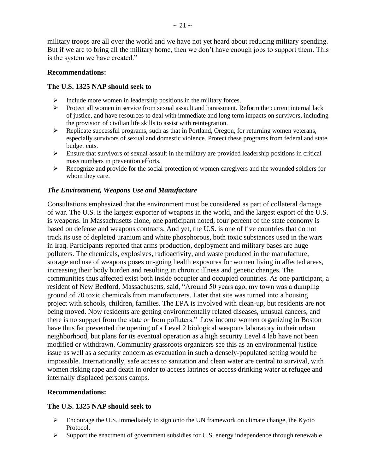military troops are all over the world and we have not yet heard about reducing military spending. But if we are to bring all the military home, then we don't have enough jobs to support them. This is the system we have created."

### **Recommendations:**

### **The U.S. 1325 NAP should seek to**

- $\triangleright$  Include more women in leadership positions in the military forces.
- $\triangleright$  Protect all women in service from sexual assault and harassment. Reform the current internal lack of justice, and have resources to deal with immediate and long term impacts on survivors, including the provision of civilian life skills to assist with reintegration.
- $\triangleright$  Replicate successful programs, such as that in Portland, Oregon, for returning women veterans, especially survivors of sexual and domestic violence. Protect these programs from federal and state budget cuts.
- $\triangleright$  Ensure that survivors of sexual assault in the military are provided leadership positions in critical mass numbers in prevention efforts.
- $\triangleright$  Recognize and provide for the social protection of women caregivers and the wounded soldiers for whom they care.

### *The Environment, Weapons Use and Manufacture*

Consultations emphasized that the environment must be considered as part of collateral damage of war. The U.S. is the largest exporter of weapons in the world, and the largest export of the U.S. is weapons. In Massachusetts alone, one participant noted, four percent of the state economy is based on defense and weapons contracts. And yet, the U.S. is one of five countries that do not track its use of depleted uranium and white phosphorous, both toxic substances used in the wars in Iraq. Participants reported that arms production, deployment and military bases are huge polluters. The chemicals, explosives, radioactivity, and waste produced in the manufacture, storage and use of weapons poses on-going health exposures for women living in affected areas, increasing their body burden and resulting in chronic illness and genetic changes. The communities thus affected exist both inside occupier and occupied countries. As one participant, a resident of New Bedford, Massachusetts, said, "Around 50 years ago, my town was a dumping ground of 70 toxic chemicals from manufacturers. Later that site was turned into a housing project with schools, children, families. The EPA is involved with clean-up, but residents are not being moved. Now residents are getting environmentally related diseases, unusual cancers, and there is no support from the state or from polluters." Low income women organizing in Boston have thus far prevented the opening of a Level 2 biological weapons laboratory in their urban neighborhood, but plans for its eventual operation as a high security Level 4 lab have not been modified or withdrawn. Community grassroots organizers see this as an environmental justice issue as well as a security concern as evacuation in such a densely-populated setting would be impossible. Internationally, safe access to sanitation and clean water are central to survival, with women risking rape and death in order to access latrines or access drinking water at refugee and internally displaced persons camps.

#### **Recommendations:**

### **The U.S. 1325 NAP should seek to**

- Encourage the U.S. immediately to sign onto the UN framework on climate change, the Kyoto Protocol.
- $\triangleright$  Support the enactment of government subsidies for U.S. energy independence through renewable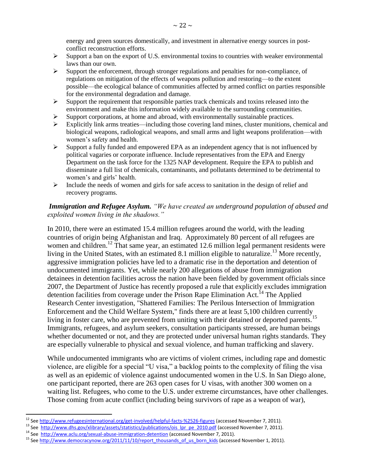energy and green sources domestically, and investment in alternative energy sources in postconflict reconstruction efforts.

- $\triangleright$  Support a ban on the export of U.S. environmental toxins to countries with weaker environmental laws than our own.
- $\triangleright$  Support the enforcement, through stronger regulations and penalties for non-compliance, of regulations on mitigation of the effects of weapons pollution and restoring—to the extent possible—the ecological balance of communities affected by armed conflict on parties responsible for the environmental degradation and damage.
- $\triangleright$  Support the requirement that responsible parties track chemicals and toxins released into the environment and make this information widely available to the surrounding communities.
- $\triangleright$  Support corporations, at home and abroad, with environmentally sustainable practices.
- $\triangleright$  Explicitly link arms treaties—including those covering land mines, cluster munitions, chemical and biological weapons, radiological weapons, and small arms and light weapons proliferation—with women's safety and health.
- $\triangleright$  Support a fully funded and empowered EPA as an independent agency that is not influenced by political vagaries or corporate influence. Include representatives from the EPA and Energy Department on the task force for the 1325 NAP development. Require the EPA to publish and disseminate a full list of chemicals, contaminants, and pollutants determined to be detrimental to women's and girls' health.
- $\triangleright$  Include the needs of women and girls for safe access to sanitation in the design of relief and recovery programs.

# *Immigration and Refugee Asylum. "We have created an underground population of abused and exploited women living in the shadows."*

In 2010, there were an estimated 15.4 million refugees around the world, with the leading countries of origin being Afghanistan and Iraq. Approximately 80 percent of all refugees are women and children.<sup>12</sup> That same year, an estimated 12.6 million legal permanent residents were living in the United States, with an estimated 8.1 million eligible to naturalize.<sup>13</sup> More recently, aggressive immigration policies have led to a dramatic rise in the deportation and detention of undocumented immigrants. Yet, while nearly 200 allegations of abuse from immigration detainees in detention facilities across the nation have been fielded by government officials since 2007, the Department of Justice has recently proposed a rule that explicitly excludes immigration detention facilities from coverage under the Prison Rape Elimination Act.<sup>14</sup> The Applied Research Center investigation, "Shattered Families: The Perilous Intersection of Immigration Enforcement and the Child Welfare System," finds there are at least 5,100 children currently living in foster care, who are prevented from uniting with their detained or deported parents.<sup>15</sup> Immigrants, refugees, and asylum seekers, consultation participants stressed, are human beings whether documented or not, and they are protected under universal human rights standards. They are especially vulnerable to physical and sexual violence, and human trafficking and slavery.

While undocumented immigrants who are victims of violent crimes, including rape and domestic violence, are eligible for a special "U visa," a backlog points to the complexity of filing the visa as well as an epidemic of violence against undocumented women in the U.S. In San Diego alone, one participant reported, there are 263 open cases for U visas, with another 300 women on a waiting list. Refugees, who come to the U.S. under extreme circumstances, have other challenges. Those coming from acute conflict (including being survivors of rape as a weapon of war),

 $\overline{\phantom{a}}$ 

<sup>&</sup>lt;sup>12</sup> Se[e http://www.refugeesinternational.org/get-involved/helpful-facts-%2526-figures](http://www.refugeesinternational.org/get-involved/helpful-facts-%2526-figures) (accessed November 7, 2011).

<sup>13</sup> See [http://www.dhs.gov/xlibrary/assets/statistics/publications/ois\\_lpr\\_pe\\_2010.pdf](http://www.dhs.gov/xlibrary/assets/statistics/publications/ois_lpr_pe_2010.pdf) (accessed November 7, 2011).

<sup>&</sup>lt;sup>14</sup> See<http://www.aclu.org/sexual-abuse-immigration-detention> (accessed November 7, 2011).

<sup>&</sup>lt;sup>15</sup> Se[e http://www.democracynow.org/2011/11/10/report\\_thousands\\_of\\_us\\_born\\_kids](http://www.democracynow.org/2011/11/10/report_thousands_of_us_born_kids) (accessed November 1, 2011).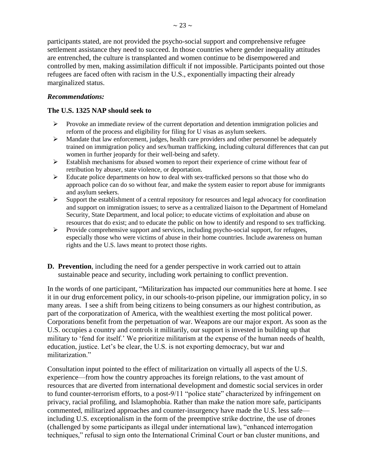participants stated, are not provided the psycho-social support and comprehensive refugee settlement assistance they need to succeed. In those countries where gender inequality attitudes are entrenched, the culture is transplanted and women continue to be disempowered and controlled by men, making assimilation difficult if not impossible. Participants pointed out those refugees are faced often with racism in the U.S., exponentially impacting their already marginalized status.

# *Recommendations:*

# **The U.S. 1325 NAP should seek to**

- Provoke an immediate review of the current deportation and detention immigration policies and reform of the process and eligibility for filing for U visas as asylum seekers.
- $\triangleright$  Mandate that law enforcement, judges, health care providers and other personnel be adequately trained on immigration policy and sex/human trafficking, including cultural differences that can put women in further jeopardy for their well-being and safety.
- Establish mechanisms for abused women to report their experience of crime without fear of retribution by abuser, state violence, or deportation.
- $\triangleright$  Educate police departments on how to deal with sex-trafficked persons so that those who do approach police can do so without fear, and make the system easier to report abuse for immigrants and asylum seekers.
- $\triangleright$  Support the establishment of a central repository for resources and legal advocacy for coordination and support on immigration issues; to serve as a centralized liaison to the Department of Homeland Security, State Department, and local police; to educate victims of exploitation and abuse on resources that do exist; and to educate the public on how to identify and respond to sex trafficking.
- Provide comprehensive support and services, including psycho-social support, for refugees, especially those who were victims of abuse in their home countries. Include awareness on human rights and the U.S. laws meant to protect those rights.
- <span id="page-22-0"></span>**D. Prevention**, including the need for a gender perspective in work carried out to attain sustainable peace and security, including work pertaining to conflict prevention.

In the words of one participant, "Militarization has impacted our communities here at home. I see it in our drug enforcement policy, in our schools-to-prison pipeline, our immigration policy, in so many areas. I see a shift from being citizens to being consumers as our highest contribution, as part of the corporatization of America, with the wealthiest exerting the most political power. Corporations benefit from the perpetuation of war. Weapons are our major export. As soon as the U.S. occupies a country and controls it militarily, our support is invested in building up that military to 'fend for itself.' We prioritize militarism at the expense of the human needs of health, education, justice. Let's be clear, the U.S. is not exporting democracy, but war and militarization."

Consultation input pointed to the effect of militarization on virtually all aspects of the U.S. experience—from how the country approaches its foreign relations, to the vast amount of resources that are diverted from international development and domestic social services in order to fund counter-terrorism efforts, to a post-9/11 "police state" characterized by infringement on privacy, racial profiling, and Islamophobia. Rather than make the nation more safe, participants commented, militarized approaches and counter-insurgency have made the U.S. less safe including U.S. exceptionalism in the form of the preemptive strike doctrine, the use of drones (challenged by some participants as illegal under international law), "enhanced interrogation techniques," refusal to sign onto the International Criminal Court or ban cluster munitions, and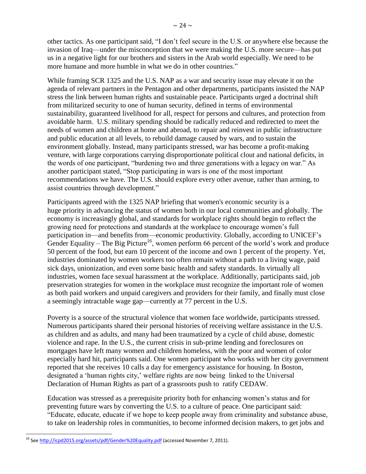other tactics. As one participant said, "I don't feel secure in the U.S. or anywhere else because the invasion of Iraq—under the misconception that we were making the U.S. more secure—has put us in a negative light for our brothers and sisters in the Arab world especially. We need to be more humane and more humble in what we do in other countries."

While framing SCR 1325 and the U.S. NAP as a war and security issue may elevate it on the agenda of relevant partners in the Pentagon and other departments, participants insisted the NAP stress the link between human rights and sustainable peace. Participants urged a doctrinal shift from militarized security to one of human security, defined in terms of environmental sustainability, guaranteed livelihood for all, respect for persons and cultures, and protection from avoidable harm. U.S. military spending should be radically reduced and redirected to meet the needs of women and children at home and abroad, to repair and reinvest in public infrastructure and public education at all levels, to rebuild damage caused by wars, and to sustain the environment globally. Instead, many participants stressed, war has become a profit-making venture, with large corporations carrying disproportionate political clout and national deficits, in the words of one participant, "burdening two and three generations with a legacy on war." As another participant stated, "Stop participating in wars is one of the most important recommendations we have. The U.S. should explore every other avenue, rather than arming, to assist countries through development."

Participants agreed with the 1325 NAP briefing that women's economic security is a huge priority in advancing the status of women both in our local communities and globally. The economy is increasingly global, and standards for workplace rights should begin to reflect the growing need for protections and standards at the workplace to encourage women's full participation in—and benefits from—economic productivity. Globally, according to UNICEF's Gender Equality – The Big Picture<sup>16</sup>, women perform 66 percent of the world's work and produce 50 percent of the food, but earn 10 percent of the income and own 1 percent of the property. Yet, industries dominated by women workers too often remain without a path to a living wage, paid sick days, unionization, and even some basic health and safety standards. In virtually all industries, women face sexual harassment at the workplace. Additionally, participants said, job preservation strategies for women in the workplace must recognize the important role of women as both paid workers and unpaid caregivers and providers for their family, and finally must close a seemingly intractable wage gap—currently at 77 percent in the U.S.

Poverty is a source of the structural violence that women face worldwide, participants stressed. Numerous participants shared their personal histories of receiving welfare assistance in the U.S. as children and as adults, and many had been traumatized by a cycle of child abuse, domestic violence and rape. In the U.S., the current crisis in sub-prime lending and foreclosures on mortgages have left many women and children homeless, with the poor and women of color especially hard hit, participants said. One women participant who works with her city government reported that she receives 10 calls a day for emergency assistance for housing. In Boston, designated a 'human rights city,' welfare rights are now being linked to the Universal Declaration of Human Rights as part of a grassroots push to ratify CEDAW.

Education was stressed as a prerequisite priority both for enhancing women's status and for preventing future wars by converting the U.S. to a culture of peace. One participant said: "Educate, educate, educate if we hope to keep people away from criminality and substance abuse, to take on leadership roles in communities, to become informed decision makers, to get jobs and

 $\overline{\phantom{a}}$ <sup>16</sup> Se[e http://icpd2015.org/assets/pdf/Gender%20Equality.pdf](http://icpd2015.org/assets/pdf/Gender%20Equality.pdf) (accessed November 7, 2011).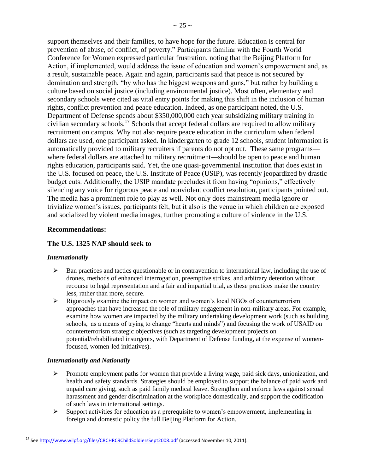support themselves and their families, to have hope for the future. Education is central for prevention of abuse, of conflict, of poverty." Participants familiar with the Fourth World Conference for Women expressed particular frustration, noting that the Beijing Platform for Action, if implemented, would address the issue of education and women's empowerment and, as a result, sustainable peace. Again and again, participants said that peace is not secured by domination and strength, "by who has the biggest weapons and guns," but rather by building a culture based on social justice (including environmental justice). Most often, elementary and secondary schools were cited as vital entry points for making this shift in the inclusion of human rights, conflict prevention and peace education. Indeed, as one participant noted, the U.S. Department of Defense spends about \$350,000,000 each year subsidizing military training in civilian secondary schools.<sup>17</sup> Schools that accept federal dollars are required to allow military recruitment on campus. Why not also require peace education in the curriculum when federal dollars are used, one participant asked. In kindergarten to grade 12 schools, student information is automatically provided to military recruiters if parents do not opt out. These same programs where federal dollars are attached to military recruitment—should be open to peace and human rights education, participants said. Yet, the one quasi-governmental institution that does exist in the U.S. focused on peace, the U.S. Institute of Peace (USIP), was recently jeopardized by drastic budget cuts. Additionally, the USIP mandate precludes it from having "opinions," effectively silencing any voice for rigorous peace and nonviolent conflict resolution, participants pointed out. The media has a prominent role to play as well. Not only does mainstream media ignore or trivialize women's issues, participants felt, but it also is the venue in which children are exposed and socialized by violent media images, further promoting a culture of violence in the U.S.

### **Recommendations:**

### **The U.S. 1325 NAP should seek to**

### *Internationally*

- $\triangleright$  Ban practices and tactics questionable or in contravention to international law, including the use of drones, methods of enhanced interrogation, preemptive strikes, and arbitrary detention without recourse to legal representation and a fair and impartial trial, as these practices make the country less, rather than more, secure.
- $\triangleright$  Rigorously examine the impact on women and women's local NGOs of counterterrorism approaches that have increased the role of military engagement in non-military areas. For example, examine how women are impacted by the military undertaking development work (such as building schools, as a means of trying to change "hearts and minds") and focusing the work of USAID on counterterrorism strategic objectives (such as targeting development projects on potential/rehabilitated insurgents, with Department of Defense funding, at the expense of womenfocused, women-led initiatives).

### *Internationally and Nationally*

- $\triangleright$  Promote employment paths for women that provide a living wage, paid sick days, unionization, and health and safety standards. Strategies should be employed to support the balance of paid work and unpaid care giving, such as paid family medical leave. Strengthen and enforce laws against sexual harassment and gender discrimination at the workplace domestically, and support the codification of such laws in international settings.
- $\triangleright$  Support activities for education as a prerequisite to women's empowerment, implementing in foreign and domestic policy the full Beijing Platform for Action.

 $\overline{\phantom{a}}$ <sup>17</sup> Se[e http://www.wilpf.org/files/CRCHRC9ChildSoldiersSept2008.pdf](http://www.wilpf.org/files/CRCHRC9ChildSoldiersSept2008.pdf) (accessed November 10, 2011).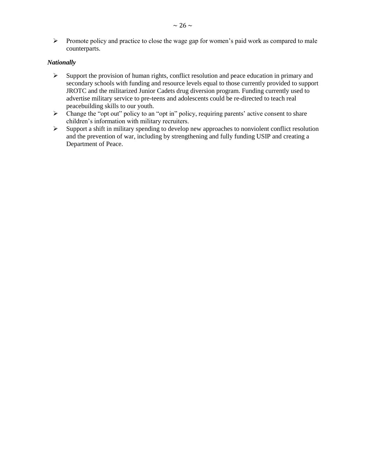$\triangleright$  Promote policy and practice to close the wage gap for women's paid work as compared to male counterparts.

### *Nationally*

- $\triangleright$  Support the provision of human rights, conflict resolution and peace education in primary and secondary schools with funding and resource levels equal to those currently provided to support JROTC and the militarized Junior Cadets drug diversion program. Funding currently used to advertise military service to pre-teens and adolescents could be re-directed to teach real peacebuilding skills to our youth.
- $\triangleright$  Change the "opt out" policy to an "opt in" policy, requiring parents' active consent to share children's information with military recruiters.
- $\triangleright$  Support a shift in military spending to develop new approaches to nonviolent conflict resolution and the prevention of war, including by strengthening and fully funding USIP and creating a Department of Peace.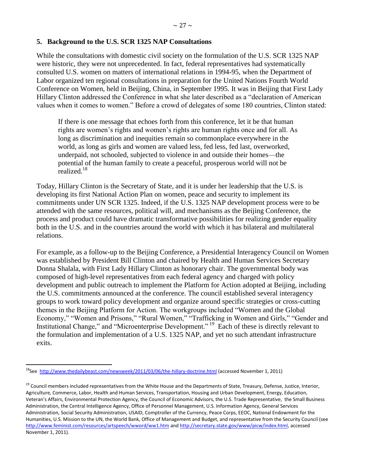### <span id="page-26-0"></span>**5. Background to the U.S. SCR 1325 NAP Consultations**

While the consultations with domestic civil society on the formulation of the U.S. SCR 1325 NAP were historic, they were not unprecedented. In fact, federal representatives had systematically consulted U.S. women on matters of international relations in 1994-95, when the Department of Labor organized ten regional consultations in preparation for the United Nations Fourth World Conference on Women, held in Beijing, China, in September 1995. It was in Beijing that First Lady Hillary Clinton addressed the Conference in what she later described as a "declaration of American values when it comes to women." Before a crowd of delegates of some 180 countries, Clinton stated:

If there is one message that echoes forth from this conference, let it be that human rights are women's rights and women's rights are human rights once and for all. As long as discrimination and inequities remain so commonplace everywhere in the world, as long as girls and women are valued less, fed less, fed last, overworked, underpaid, not schooled, subjected to violence in and outside their homes—the potential of the human family to create a peaceful, prosperous world will not be realized.<sup>18</sup>

Today, Hillary Clinton is the Secretary of State, and it is under her leadership that the U.S. is developing its first National Action Plan on women, peace and security to implement its commitments under UN SCR 1325. Indeed, if the U.S. 1325 NAP development process were to be attended with the same resources, political will, and mechanisms as the Beijing Conference, the process and product could have dramatic transformative possibilities for realizing gender equality both in the U.S. and in the countries around the world with which it has bilateral and multilateral relations.

For example, as a follow-up to the Beijing Conference, a Presidential Interagency Council on Women was established by President Bill Clinton and chaired by Health and Human Services Secretary Donna Shalala, with First Lady Hillary Clinton as honorary chair. The governmental body was composed of high-level representatives from each federal agency and charged with policy development and public outreach to implement the Platform for Action adopted at Beijing, including the U.S. commitments announced at the conference. The council established several interagency groups to work toward policy development and organize around specific strategies or cross-cutting themes in the Beijing Platform for Action. The workgroups included "Women and the Global Economy," "Women and Prisons," "Rural Women," "Trafficking in Women and Girls," "Gender and Institutional Change," and "Microenterprise Development."<sup>19</sup> Each of these is directly relevant to the formulation and implementation of a U.S. 1325 NAP, and yet no such attendant infrastructure exits.

 $\overline{\phantom{a}}$ <sup>18</sup>See<http://www.thedailybeast.com/newsweek/2011/03/06/the-hillary-doctrine.html> (accessed November 1, 2011)

<sup>&</sup>lt;sup>19</sup> Council members included representatives from the White House and the Departments of State, Treasury, Defense, Justice, Interior, Agriculture, Commerce, Labor, Health and Human Services, Transportation, Housing and Urban Development, Energy, Education, Veteran's Affairs, Environmental Protection Agency, the Council of Economic Advisors, the U.S. Trade Representative, the Small Business Administration, the Central Intelligence Agency, Office of Personnel Management, U.S. Information Agency, General Services Administration, Social Security Administration, USAID, Comptroller of the Currency, Peace Corps, EEOC, National Endowment for the Humanities, U.S. Mission to the UN, the World Bank, Office of Management and Budget, and representative from the Security Council (see <http://www.feminist.com/resources/artspeech/wword/ww1.htm> an[d http://secretary.state.gov/www/picw/index.html,](http://secretary.state.gov/www/picw/index.html) accessed November 1, 2011).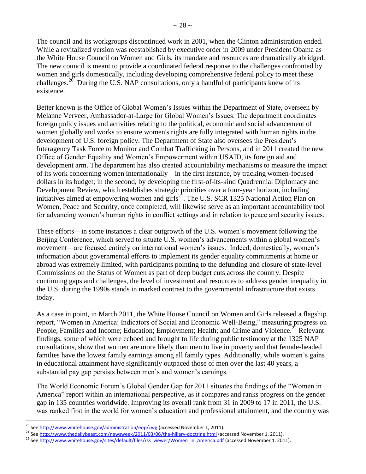The council and its workgroups discontinued work in 2001, when the Clinton administration ended. While a revitalized version was reestablished by executive order in 2009 under President Obama as the White House Council on Women and Girls, its mandate and resources are dramatically abridged. The new council is meant to provide a coordinated federal response to the challenges confronted by women and girls domestically, including developing comprehensive federal policy to meet these challenges.<sup>20</sup> During the U.S. NAP consultations, only a handful of participants knew of its existence.

Better known is the Office of Global Women's Issues within the Department of State, overseen by Melanne Verveer, Ambassador-at-Large for Global Women's Issues. The department coordinates foreign policy issues and activities relating to the political, economic and social advancement of women globally and works to ensure women's rights are fully integrated with human rights in the development of U.S. foreign policy. The Department of State also oversees the President's Interagency Task Force to Monitor and Combat Trafficking in Persons, and in 2011 created the new Office of Gender Equality and Women's Empowerment within USAID, its foreign aid and development arm. The department has also created accountability mechanisms to measure the impact of its work concerning women internationally—in the first instance, by tracking women-focused dollars in its budget; in the second, by developing the first-of-its-kind Quadrennial Diplomacy and Development Review, which establishes strategic priorities over a four-year horizon, including initiatives aimed at empowering women and girls<sup>21</sup>. The U.S. SCR 1325 National Action Plan on Women, Peace and Security, once completed, will likewise serve as an important accountability tool for advancing women's human rights in conflict settings and in relation to peace and security issues.

These efforts—in some instances a clear outgrowth of the U.S. women's movement following the Beijing Conference, which served to situate U.S. women's advancements within a global women's movement—are focused entirely on international women's issues. Indeed, domestically, women's information about governmental efforts to implement its gender equality commitments at home or abroad was extremely limited, with participants pointing to the defunding and closure of state-level Commissions on the Status of Women as part of deep budget cuts across the country. Despite continuing gaps and challenges, the level of investment and resources to address gender inequality in the U.S. during the 1990s stands in marked contrast to the governmental infrastructure that exists today.

As a case in point, in March 2011, the White House Council on Women and Girls released a flagship report, "Women in America: Indicators of Social and Economic Well-Being," measuring progress on People, Families and Income; Education; Employment; Health; and Crime and Violence.<sup>22</sup> Relevant findings, some of which were echoed and brought to life during public testimony at the 1325 NAP consultations, show that women are more likely than men to live in poverty and that female-headed families have the lowest family earnings among all family types. Additionally, while women's gains in educational attainment have significantly outpaced those of men over the last 40 years, a substantial pay gap persists between men's and women's earnings.

The World Economic Forum's Global Gender Gap for 2011 situates the findings of the "Women in America" report within an international perspective, as it compares and ranks progress on the gender gap in 135 countries worldwide. Improving its overall rank from 31 in 2009 to 17 in 2011, the U.S. was ranked first in the world for women's education and professional attainment, and the country was

 $\overline{\phantom{a}}$ <sup>20</sup> Se[e http://www.whitehouse.gov/administration/eop/cwg](http://www.whitehouse.gov/administration/eop/cwg) (accessed November 1, 2011).

<sup>&</sup>lt;sup>21</sup> Se[e http://www.thedailybeast.com/newsweek/2011/03/06/the-hillary-doctrine.html](http://www.thedailybeast.com/newsweek/2011/03/06/the-hillary-doctrine.html) (accessed November 1, 2011).

<sup>&</sup>lt;sup>22</sup> Se[e http://www.whitehouse.gov/sites/default/files/rss\\_viewer/Women\\_in\\_America.pdf](http://www.whitehouse.gov/sites/default/files/rss_viewer/Women_in_America.pdf) (accessed November 1, 2011).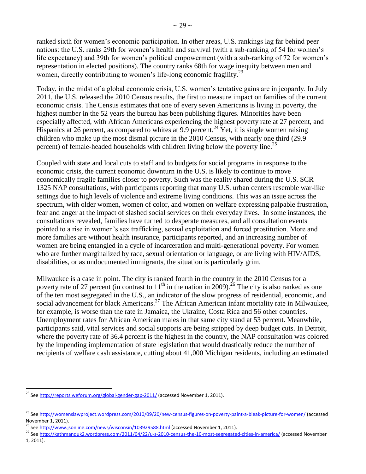ranked sixth for women's economic participation. In other areas, U.S. rankings lag far behind peer nations: the U.S. ranks 29th for women's health and survival (with a sub-ranking of 54 for women's life expectancy) and 39th for women's political empowerment (with a sub-ranking of 72 for women's representation in elected positions). The country ranks 68th for wage inequity between men and women, directly contributing to women's life-long economic fragility.<sup>23</sup>

Today, in the midst of a global economic crisis, U.S. women's tentative gains are in jeopardy. In July 2011, the U.S. released the 2010 Census results, the first to measure impact on families of the current economic crisis. The Census estimates that one of every seven Americans is living in poverty, the highest number in the 52 years the bureau has been publishing figures. Minorities have been especially affected, with African Americans experiencing the highest poverty rate at 27 percent, and Hispanics at 26 percent, as compared to whites at 9.9 percent.<sup>24</sup> Yet, it is single women raising children who make up the most dismal picture in the 2010 Census, with nearly one third (29.9 percent) of female-headed households with children living below the poverty line.<sup>25</sup>

Coupled with state and local cuts to staff and to budgets for social programs in response to the economic crisis, the current economic downturn in the U.S. is likely to continue to move economically fragile families closer to poverty. Such was the reality shared during the U.S. SCR 1325 NAP consultations, with participants reporting that many U.S. urban centers resemble war-like settings due to high levels of violence and extreme living conditions. This was an issue across the spectrum, with older women, women of color, and women on welfare expressing palpable frustration, fear and anger at the impact of slashed social services on their everyday lives. In some instances, the consultations revealed, families have turned to desperate measures, and all consultation events pointed to a rise in women's sex trafficking, sexual exploitation and forced prostitution. More and more families are without health insurance, participants reported, and an increasing number of women are being entangled in a cycle of incarceration and multi-generational poverty. For women who are further marginalized by race, sexual orientation or language, or are living with HIV/AIDS, disabilities, or as undocumented immigrants, the situation is particularly grim.

Milwaukee is a case in point. The city is ranked fourth in the country in the 2010 Census for a poverty rate of 27 percent (in contrast to  $11<sup>th</sup>$  in the nation in 2009).<sup>26</sup> The city is also ranked as one of the ten most segregated in the U.S., an indicator of the slow progress of residential, economic, and social advancement for black Americans.<sup>27</sup> The African American infant mortality rate in Milwaukee, for example, is worse than the rate in Jamaica, the Ukraine, Costa Rica and 56 other countries. Unemployment rates for African American males in that same city stand at 53 percent. Meanwhile, participants said, vital services and social supports are being stripped by deep budget cuts. In Detroit, where the poverty rate of 36.4 percent is the highest in the country, the NAP consultation was colored by the impending implementation of state legislation that would drastically reduce the number of recipients of welfare cash assistance, cutting about 41,000 Michigan residents, including an estimated

 $\overline{a}$ <sup>23</sup> Se[e http://reports.weforum.org/global-gender-gap-2011/](http://reports.weforum.org/global-gender-gap-2011/) (accessed November 1, 2011).

<sup>25</sup> Se[e http://womenslawproject.wordpress.com/2010/09/20/new-census-figures-on-poverty-paint-a-bleak-picture-for-women/](http://womenslawproject.wordpress.com/2010/09/20/new-census-figures-on-poverty-paint-a-bleak-picture-for-women/) (accessed November 1, 2011).

<sup>&</sup>lt;sup>26</sup> Se[e http://www.jsonline.com/news/wisconsin/103929588.html](http://www.jsonline.com/news/wisconsin/103929588.html) (accessed November 1, 2011).

<sup>27</sup> Se[e http://kathmanduk2.wordpress.com/2011/04/22/u-s-2010-census-the-10-most-segregated-cities-in-america/](http://kathmanduk2.wordpress.com/2011/04/22/u-s-2010-census-the-10-most-segregated-cities-in-america/) (accessed November 1, 2011).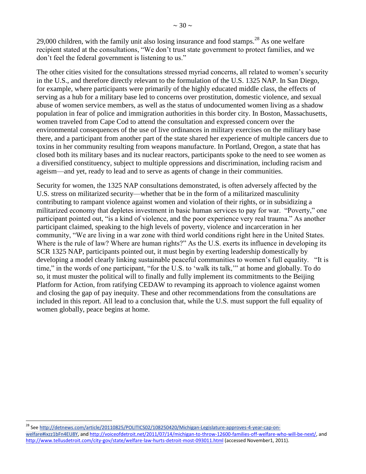29,000 children, with the family unit also losing insurance and food stamps. $^{28}$  As one welfare recipient stated at the consultations, "We don't trust state government to protect families, and we don't feel the federal government is listening to us."

The other cities visited for the consultations stressed myriad concerns, all related to women's security in the U.S., and therefore directly relevant to the formulation of the U.S. 1325 NAP. In San Diego, for example, where participants were primarily of the highly educated middle class, the effects of serving as a hub for a military base led to concerns over prostitution, domestic violence, and sexual abuse of women service members, as well as the status of undocumented women living as a shadow population in fear of police and immigration authorities in this border city. In Boston, Massachusetts, women traveled from Cape Cod to attend the consultation and expressed concern over the environmental consequences of the use of live ordinances in military exercises on the military base there, and a participant from another part of the state shared her experience of multiple cancers due to toxins in her community resulting from weapons manufacture. In Portland, Oregon, a state that has closed both its military bases and its nuclear reactors, participants spoke to the need to see women as a diversified constituency, subject to multiple oppressions and discrimination, including racism and ageism—and yet, ready to lead and to serve as agents of change in their communities.

Security for women, the 1325 NAP consultations demonstrated, is often adversely affected by the U.S. stress on militarized security—whether that be in the form of a militarized masculinity contributing to rampant violence against women and violation of their rights, or in subsidizing a militarized economy that depletes investment in basic human services to pay for war. "Poverty," one participant pointed out, "is a kind of violence, and the poor experience very real trauma." As another participant claimed, speaking to the high levels of poverty, violence and incarceration in her community, "We are living in a war zone with third world conditions right here in the United States. Where is the rule of law? Where are human rights?" As the U.S. exerts its influence in developing its SCR 1325 NAP, participants pointed out, it must begin by exerting leadership domestically by developing a model clearly linking sustainable peaceful communities to women's full equality. "It is time," in the words of one participant, "for the U.S. to 'walk its talk,'" at home and globally. To do so, it must muster the political will to finally and fully implement its commitments to the Beijing Platform for Action, from ratifying CEDAW to revamping its approach to violence against women and closing the gap of pay inequity. These and other recommendations from the consultations are included in this report. All lead to a conclusion that, while the U.S. must support the full equality of women globally, peace begins at home.

<sup>28</sup> Se[e http://detnews.com/article/20110825/POLITICS02/108250420/Michigan-Legislature-approves-4-year-cap-on](http://detnews.com/article/20110825/POLITICS02/108250420/Michigan-Legislature-approves-4-year-cap-on-welfare#ixzz1bFn4EU8Y)[welfare#ixzz1bFn4EU8Y,](http://detnews.com/article/20110825/POLITICS02/108250420/Michigan-Legislature-approves-4-year-cap-on-welfare#ixzz1bFn4EU8Y) and [http://voiceofdetroit.net/2011/07/14/michigan-to-throw-12600-families-off-welfare-who-will-be-next/,](http://voiceofdetroit.net/2011/07/14/michigan-to-throw-12600-families-off-welfare-who-will-be-next/) and <http://www.tellusdetroit.com/city-gov/state/welfare-law-hurts-detroit-most-093011.html> (accessed November1, 2011).

 $\overline{\phantom{a}}$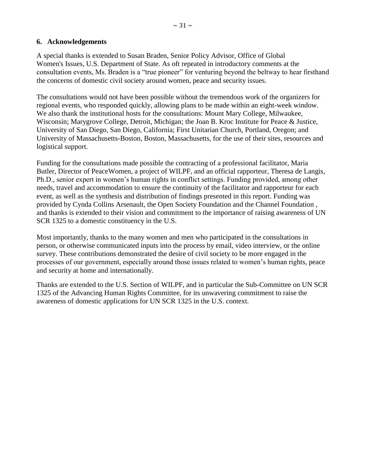# <span id="page-30-0"></span>**6. Acknowledgements**

A special thanks is extended to Susan Braden, Senior Policy Advisor, Office of Global Women's Issues, U.S. Department of State. As oft repeated in introductory comments at the consultation events, Ms. Braden is a "true pioneer" for venturing beyond the beltway to hear firsthand the concerns of domestic civil society around women, peace and security issues.

The consultations would not have been possible without the tremendous work of the organizers for regional events, who responded quickly, allowing plans to be made within an eight-week window. We also thank the institutional hosts for the consultations: Mount Mary College, Milwaukee, Wisconsin; Marygrove College, Detroit, Michigan; the Joan B. Kroc Institute for Peace & Justice, University of San Diego, San Diego, California; First Unitarian Church, Portland, Oregon; and University of Massachusetts-Boston, Boston, Massachusetts, for the use of their sites, resources and logistical support.

Funding for the consultations made possible the contracting of a professional facilitator, Maria Butler, Director of PeaceWomen, a project of WILPF, and an official rapporteur, Theresa de Langis, Ph.D., senior expert in women's human rights in conflict settings. Funding provided, among other needs, travel and accommodation to ensure the continuity of the facilitator and rapporteur for each event, as well as the synthesis and distribution of findings presented in this report. Funding was provided by Cynda Collins Arsenault, the Open Society Foundation and the Channel Foundation , and thanks is extended to their vision and commitment to the importance of raising awareness of UN SCR 1325 to a domestic constituency in the U.S.

Most importantly, thanks to the many women and men who participated in the consultations in person, or otherwise communicated inputs into the process by email, video interview, or the online survey. These contributions demonstrated the desire of civil society to be more engaged in the processes of our government, especially around those issues related to women's human rights, peace and security at home and internationally.

Thanks are extended to the U.S. Section of WILPF, and in particular the Sub-Committee on UN SCR 1325 of the Advancing Human Rights Committee, for its unwavering commitment to raise the awareness of domestic applications for UN SCR 1325 in the U.S. context.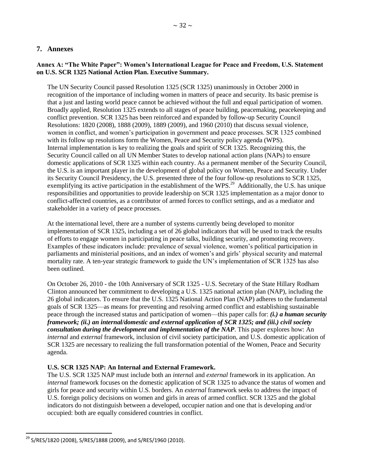# <span id="page-31-1"></span><span id="page-31-0"></span>**7. Annexes**

### **Annex A: "The White Paper": Women's International League for Peace and Freedom, U.S. Statement on U.S. SCR 1325 National Action Plan. Executive Summary.**

The UN Security Council passed Resolution 1325 (SCR 1325) unanimously in October 2000 in recognition of the importance of including women in matters of peace and security. Its basic premise is that a just and lasting world peace cannot be achieved without the full and equal participation of women. Broadly applied, Resolution 1325 extends to all stages of peace building, peacemaking, peacekeeping and conflict prevention. SCR 1325 has been reinforced and expanded by follow-up Security Council Resolutions: 1820 (2008), 1888 (2009), 1889 (2009), and 1960 (2010) that discuss sexual violence, women in conflict, and women's participation in government and peace processes. SCR 1325 combined with its follow up resolutions form the Women, Peace and Security policy agenda (WPS). Internal implementation is key to realizing the goals and spirit of SCR 1325. Recognizing this, the Security Council called on all UN Member States to develop national action plans (NAPs) to ensure domestic applications of SCR 1325 within each country. As a permanent member of the Security Council, the U.S. is an important player in the development of global policy on Women, Peace and Security. Under its Security Council Presidency, the U.S. presented three of the four follow-up resolutions to SCR 1325, exemplifying its active participation in the establishment of the WPS.<sup>29</sup> Additionally, the U.S. has unique responsibilities and opportunities to provide leadership on SCR 1325 implementation as a major donor to conflict-affected countries, as a contributor of armed forces to conflict settings, and as a mediator and stakeholder in a variety of peace processes.

At the international level, there are a number of systems currently being developed to monitor implementation of SCR 1325, including a set of 26 global indicators that will be used to track the results of efforts to engage women in participating in peace talks, building security, and promoting recovery. Examples of these indicators include: prevalence of sexual violence, women's political participation in parliaments and ministerial positions, and an index of women's and girls' physical security and maternal mortality rate. A ten-year strategic framework to guide the UN's implementation of SCR 1325 has also been outlined.

On October 26, 2010 - the 10th Anniversary of SCR 1325 - U.S. Secretary of the State Hillary Rodham Clinton announced her commitment to developing a U.S. 1325 national action plan (NAP), including the 26 global indicators. To ensure that the U.S. 1325 National Action Plan (NAP) adheres to the fundamental goals of SCR 1325—as means for preventing and resolving armed conflict and establishing sustainable peace through the increased status and participation of women—this paper calls for: *(i.) a human security framework; (ii.) an internal/domestic and external application of SCR 1325; and (iii.) civil society consultation during the development and implementation of the NAP*. This paper explores how: An *internal* and *external* framework, inclusion of civil society participation, and U.S. domestic application of SCR 1325 are necessary to realizing the full transformation potential of the Women, Peace and Security agenda.

#### **U.S. SCR 1325 NAP: An Internal and External Framework.**

The U.S. SCR 1325 NAP must include both an *interna*l and *external* framework in its application. An *internal* framework focuses on the domestic application of SCR 1325 to advance the status of women and girls for peace and security within U.S. borders. An *external* framework seeks to address the impact of U.S. foreign policy decisions on women and girls in areas of armed conflict. SCR 1325 and the global indicators do not distinguish between a developed, occupier nation and one that is developing and/or occupied: both are equally considered countries in conflict.

 $\overline{a}$ 

 $^{29}$  S/RES/1820 (2008), S/RES/1888 (2009), and S/RES/1960 (2010).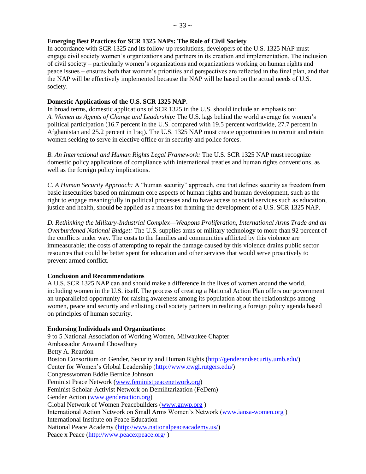### **Emerging Best Practices for SCR 1325 NAPs: The Role of Civil Society**

In accordance with SCR 1325 and its follow-up resolutions, developers of the U.S. 1325 NAP must engage civil society women's organizations and partners in its creation and implementation. The inclusion of civil society – particularly women's organizations and organizations working on human rights and peace issues – ensures both that women's priorities and perspectives are reflected in the final plan, and that the NAP will be effectively implemented because the NAP will be based on the actual needs of U.S. society.

### **Domestic Applications of the U.S. SCR 1325 NAP**.

In broad terms, domestic applications of SCR 1325 in the U.S. should include an emphasis on: *A. Women as Agents of Change and Leadership:* The U.S. lags behind the world average for women's political participation (16.7 percent in the U.S. compared with 19.5 percent worldwide, 27.7 percent in Afghanistan and 25.2 percent in Iraq). The U.S. 1325 NAP must create opportunities to recruit and retain women seeking to serve in elective office or in security and police forces.

*B. An International and Human Rights Legal Framework:* The U.S. SCR 1325 NAP must recognize domestic policy applications of compliance with international treaties and human rights conventions, as well as the foreign policy implications.

*C. A Human Security Approach:* A "human security" approach, one that defines security as freedom from basic insecurities based on minimum core aspects of human rights and human development, such as the right to engage meaningfully in political processes and to have access to social services such as education, justice and health, should be applied as a means for framing the development of a U.S. SCR 1325 NAP.

*D. Rethinking the Military-Industrial Complex—Weapons Proliferation, International Arms Trade and an Overburdened National Budget:* The U.S. supplies arms or military technology to more than 92 percent of the conflicts under way. The costs to the families and communities afflicted by this violence are immeasurable; the costs of attempting to repair the damage caused by this violence drains public sector resources that could be better spent for education and other services that would serve proactively to prevent armed conflict.

### **Conclusion and Recommendations**

A U.S. SCR 1325 NAP can and should make a difference in the lives of women around the world, including women in the U.S. itself. The process of creating a National Action Plan offers our government an unparalleled opportunity for raising awareness among its population about the relationships among women, peace and security and enlisting civil society partners in realizing a foreign policy agenda based on principles of human security.

### **Endorsing Individuals and Organizations:**

9 to 5 National Association of Working Women, Milwaukee Chapter Ambassador Anwarul Chowdhury Betty A. Reardon Boston Consortium on Gender, Security and Human Rights [\(http://genderandsecurity.umb.edu/\)](http://genderandsecurity.umb.edu/) Center for Women's Global Leadership [\(http://www.cwgl.rutgers.edu/\)](http://www.cwgl.rutgers.edu/) Congresswoman Eddie Bernice Johnson Feminist Peace Network [\(www.feministpeacenetwork.org\)](http://www.feministpeacenetwork.org/) Feminist Scholar-Activist Network on Demilitarization (FeDem) Gender Action [\(www.genderaction.org\)](http://www.genderaction.org/) Global Network of Women Peacebuilders [\(www.gnwp.org](http://www.gnwp.org/) ) International Action Network on Small Arms Women's Network [\(www.iansa-women.org](http://www.iansa-women.org/) ) International Institute on Peace Education National Peace Academy [\(http://www.nationalpeaceacademy.us/\)](http://www.nationalpeaceacademy.us/) Peace x Peace [\(http://www.peacexpeace.org/](http://www.peacexpeace.org/) )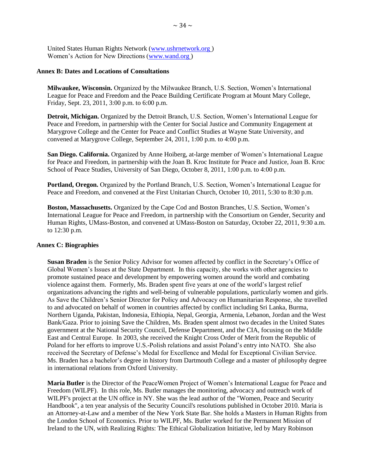United States Human Rights Network [\(www.ushrnetwork.org](http://www.ushrnetwork.org/) ) Women's Action for New Directions [\(www.wand.org](http://www.wand.org/) )

#### <span id="page-33-0"></span>**Annex B: Dates and Locations of Consultations**

**Milwaukee, Wisconsin.** Organized by the Milwaukee Branch, U.S. Section, Women's International League for Peace and Freedom and the Peace Building Certificate Program at Mount Mary College, Friday, Sept. 23, 2011, 3:00 p.m. to 6:00 p.m.

**Detroit, Michigan.** Organized by the Detroit Branch, U.S. Section, Women's International League for Peace and Freedom, in partnership with the Center for Social Justice and Community Engagement at Marygrove College and the Center for Peace and Conflict Studies at Wayne State University, and convened at Marygrove College, September 24, 2011, 1:00 p.m. to 4:00 p.m.

**San Diego. California.** Organized by Anne Hoiberg, at-large member of Women's International League for Peace and Freedom, in partnership with the Joan B. Kroc Institute for Peace and Justice, Joan B. Kroc School of Peace Studies, University of San Diego, October 8, 2011, 1:00 p.m. to 4:00 p.m.

**Portland, Oregon.** Organized by the Portland Branch, U.S. Section, Women's International League for Peace and Freedom, and convened at the First Unitarian Church, October 10, 2011, 5:30 to 8:30 p.m.

**Boston, Massachusetts.** Organized by the Cape Cod and Boston Branches, U.S. Section, Women's International League for Peace and Freedom, in partnership with the Consortium on Gender, Security and Human Rights, UMass-Boston, and convened at UMass-Boston on Saturday, October 22, 2011, 9:30 a.m. to 12:30 p.m.

#### <span id="page-33-1"></span>**Annex C: Biographies**

**Susan Braden** is the Senior Policy Advisor for women affected by conflict in the Secretary's Office of Global Women's Issues at the State Department. In this capacity, she works with other agencies to promote sustained peace and development by empowering women around the world and combating violence against them. Formerly, Ms. Braden spent five years at one of the world's largest relief organizations advancing the rights and well-being of vulnerable populations, particularly women and girls. As Save the Children's Senior Director for Policy and Advocacy on Humanitarian Response, she travelled to and advocated on behalf of women in countries affected by conflict including Sri Lanka, Burma, Northern Uganda, Pakistan, Indonesia, Ethiopia, Nepal, Georgia, Armenia, Lebanon, Jordan and the West Bank/Gaza. Prior to joining Save the Children, Ms. Braden spent almost two decades in the United States government at the National Security Council, Defense Department, and the CIA, focusing on the Middle East and Central Europe. In 2003, she received the Knight Cross Order of Merit from the Republic of Poland for her efforts to improve U.S.-Polish relations and assist Poland's entry into NATO. She also received the Secretary of Defense's Medal for Excellence and Medal for Exceptional Civilian Service. Ms. Braden has a bachelor's degree in history from Dartmouth College and a master of philosophy degree in international relations from Oxford University.

**Maria Butler** is the Director of the PeaceWomen Project of Women's International League for Peace and Freedom (WILPF). In this role, Ms. Butler manages the monitoring, advocacy and outreach work of WILPF's project at the UN office in NY. She was the lead author of the "Women, Peace and Security Handbook", a ten year analysis of the Security Council's resolutions published in October 2010. Maria is an Attorney-at-Law and a member of the New York State Bar. She holds a Masters in Human Rights from the London School of Economics. Prior to WILPF, Ms. Butler worked for the Permanent Mission of Ireland to the UN, with Realizing Rights: The Ethical Globalization Initiative, led by Mary Robinson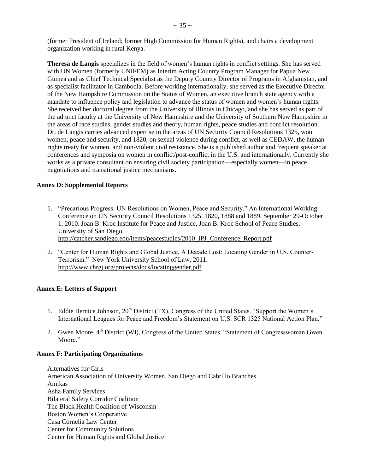(former President of Ireland; former High Commission for Human Rights), and chairs a development organization working in rural Kenya.

**Theresa de Langis** specializes in the field of women's human rights in conflict settings. She has served with UN Women (formerly UNIFEM) as Interim Acting Country Program Manager for Papua New Guinea and as Chief Technical Specialist as the Deputy Country Director of Programs in Afghanistan, and as specialist facilitator in Cambodia. Before working internationally, she served as the Executive Director of the New Hampshire Commission on the Status of Women, an executive branch state agency with a mandate to influence policy and legislation to advance the status of women and women's human rights. She received her doctoral degree from the University of Illinois in Chicago, and she has served as part of the adjunct faculty at the University of New Hampshire and the University of Southern New Hampshire in the areas of race studies, gender studies and theory, human rights, peace studies and conflict resolution. Dr. de Langis carries advanced expertise in the areas of UN Security Council Resolutions 1325, won women, peace and security, and 1820, on sexual violence during conflict, as well as CEDAW, the human rights treaty for women, and non-violent civil resistance. She is a published author and frequent speaker at conferences and symposia on women in conflict/post-conflict in the U.S. and internationally. Currently she works as a private consultant on ensuring civil society participation—especially women—in peace negotiations and transitional justice mechanisms.

#### <span id="page-34-0"></span>**Annex D: Supplemental Reports**

- 1. "Precarious Progress: UN Resolutions on Women, Peace and Security." An International Working Conference on UN Security Council Resolutions 1325, 1820, 1888 and 1889. September 29-October 1, 2010. Joan B. Kroc Institute for Peace and Justice, Joan B. Kroc School of Peace Studies, University of San Diego. [http://catcher.sandiego.edu/items/peacestudies/2010\\_IPJ\\_Conference\\_Report.pdf](http://catcher.sandiego.edu/items/peacestudies/2010_IPJ_Conference_Report.pdf)
- 2. "Center for Human Rights and Global Justice, A Decade Lost: Locating Gender in U.S. Counter-Terrorism." New York University School of Law, 2011. <http://www.chrgj.org/projects/docs/locatinggender.pdf>

#### <span id="page-34-1"></span>**Annex E: Letters of Support**

- 1. Eddie Bernice Johnson, 20<sup>th</sup> District (TX), Congress of the United States. "Support the Women's International Leagues for Peace and Freedom's Statement on U.S. SCR 1325 National Action Plan."
- 2. Gwen Moore, 4<sup>th</sup> District (WI), Congress of the United States. "Statement of Congresswoman Gwen Moore."

#### <span id="page-34-2"></span>**Annex F: Participating Organizations**

Alternatives for Girls American Association of University Women, San Diego and Cabrillo Branches Amikas Asha Family Services Bilateral Safety Corridor Coalition The Black Health Coalition of Wisconsin Boston Women's Cooperative Casa Cornelia Law Center Center for Community Solutions Center for Human Rights and Global Justice